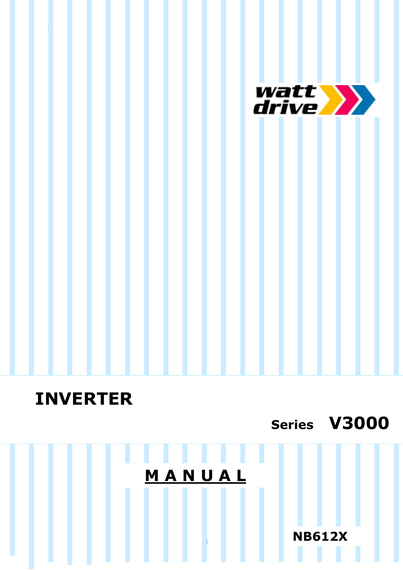

# **INVERTER**

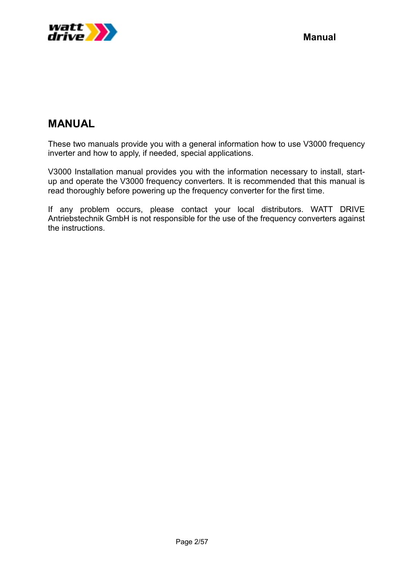

# **MANUAL**

These two manuals provide you with a general information how to use V3000 frequency inverter and how to apply, if needed, special applications.

V3000 Installation manual provides you with the information necessary to install, startup and operate the V3000 frequency converters. It is recommended that this manual is read thoroughly before powering up the frequency converter for the first time.

If any problem occurs, please contact your local distributors. WATT DRIVE Antriebstechnik GmbH is not responsible for the use of the frequency converters against the instructions.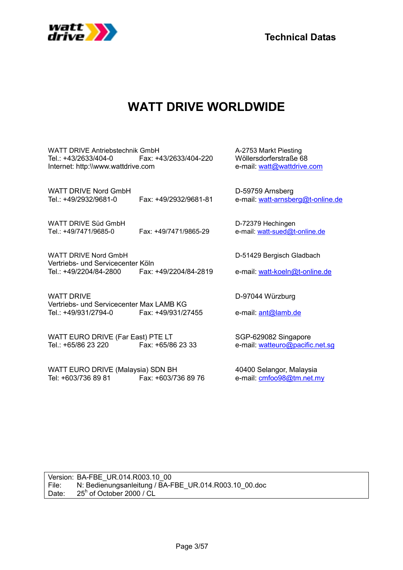

**Technical Datas**

# **WATT DRIVE WORLDWIDE**

WATT DRIVE Antriebstechnik GmbH A-2753 Markt Piesting Tel.: +43/2633/404-0 Fax: +43/2633/404-220 Wöllersdorferstraße 68 Internet: http:\\www.wattdrive.com e-mail: watt@wattdrive.com

WATT DRIVE Nord GmbH D-59759 Arnsberg Tel.: +49/2932/9681-0 Fax: +49/2932/9681-81 e-mail: watt-arnsberg@t-online.de

WATT DRIVE Süd GmbH D-72379 Hechingen Tel.: +49/7471/9685-0 Fax: +49/7471/9865-29 e-mail: watt-sued@t-online.de

WATT DRIVE Nord GmbH D-51429 Bergisch Gladbach Vertriebs- und Servicecenter Köln Tel.: +49/2204/84-2800 Fax: +49/2204/84-2819 e-mail: watt-koeln@t-online.de

WATT DRIVE **D-97044 Würzburg** Vertriebs- und Servicecenter Max LAMB KG Tel.: +49/931/2794-0 Fax: +49/931/27455 e-mail: ant@lamb.de

WATT EURO DRIVE (Far East) PTE LT<br>Tel.: +65/86 23 220 Fax: +65/86 23 33 e-mail: watteuro@pacific

WATT EURO DRIVE (Malaysia) SDN BH 40400 Selangor, Malaysia Tel: +603/736 89 81 Fax: +603/736 89 76 e-mail: cmfoo98@tm.net.my

 $Fax: +65/86$  23 33 e-mail: watteuro@pacific.net.sg

Version: BA-FBE\_UR.014.R003.10\_00 File: N: Bedienungsanleitung / BA-FBE\_UR.014.R003.10\_00.doc Date:  $25<sup>h</sup>$  of October 2000 / CL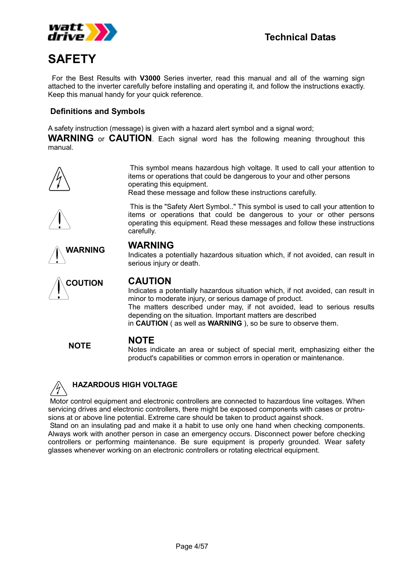

# **SAFETY**

 For the Best Results with **V3000** Series inverter, read this manual and all of the warning sign attached to the inverter carefully before installing and operating it, and follow the instructions exactly. Keep this manual handy for your quick reference.

#### **Definitions and Symbols**

A safety instruction (message) is given with a hazard alert symbol and a signal word;

**WARNING** or **CAUTION**. Each signal word has the following meaning throughout this manual.



 This symbol means hazardous high voltage. It used to call your attention to items or operations that could be dangerous to your and other persons operating this equipment.

This is the "Safety Alert Symbol.." This symbol is used to call your attention to

Read these message and follow these instructions carefully.





Indicates a potentially hazardous situation which, if not avoided, can result in serious injury or death.



Indicates a potentially hazardous situation which, if not avoided, can result in minor to moderate injury, or serious damage of product. The matters described under may, if not avoided, lead to serious results depending on the situation. Important matters are described in **CAUTION** ( as well as **WARNING** ), so be sure to observe them.

# **NOTE NOTE**

Notes indicate an area or subject of special merit, emphasizing either the product's capabilities or common errors in operation or maintenance.



#### **HAZARDOUS HIGH VOLTAGE**

Motor control equipment and electronic controllers are connected to hazardous line voltages. When servicing drives and electronic controllers, there might be exposed components with cases or protrusions at or above line potential. Extreme care should be taken to product against shock.

 Stand on an insulating pad and make it a habit to use only one hand when checking components. Always work with another person in case an emergency occurs. Disconnect power before checking controllers or performing maintenance. Be sure equipment is properly grounded. Wear safety glasses whenever working on an electronic controllers or rotating electrical equipment.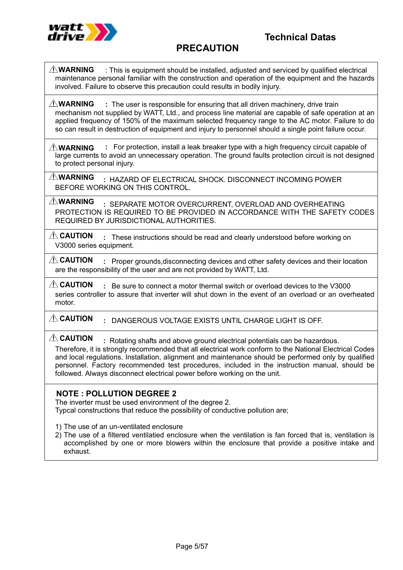

# **PRECAUTION**

 : This is equipment should be installed, adjusted and serviced by qualified electrical maintenance personal familiar with the construction and operation of the equipment and the hazards involved. Failure to observe this precaution could results in bodily injury. **WARNING**

 **:** The user is responsible for ensuring that all driven machinery, drive train mechanism not supplied by WATT, Ltd., and process line material are capable of safe operation at an applied frequency of 150% of the maximum selected frequency range to the AC motor. Failure to do so can result in destruction of equipment and injury to personnel should a single point failure occur. **WARNING**

 **:** For protection, install a leak breaker type with a high frequency circuit capable of large currents to avoid an unnecessary operation. The ground faults protection circuit is not designed to protect personal injury. **WARNING**

 **:** HAZARD OF ELECTRICAL SHOCK. DISCONNECT INCOMING POWER BEFORE WORKING ON THIS CONTROL. **WARNING**

 **:** SEPARATE MOTOR OVERCURRENT, OVERLOAD AND OVERHEATING PROTECTION IS REQUIRED TO BE PROVIDED IN ACCORDANCE WITH THE SAFETY CODES REQUIRED BY JURISDICTIONAL AUTHORITIES. **WARNING**

 **:** These instructions should be read and clearly understood before working on V3000 series equipment. **CAUTION**

 **:** Proper grounds,disconnecting devices and other safety devices and their location are the responsibility of the user and are not provided by WATT, Ltd. **CAUTION**

 **:** Be sure to connect a motor thermal switch or overload devices to the V3000 series controller to assure that inverter will shut down in the event of an overload or an overheated motor. **CAUTION**

 **:** DANGEROUS VOLTAGE EXISTS UNTIL CHARGE LIGHT IS OFF. **CAUTION**

 **:** Rotating shafts and above ground electrical potentials can be hazardous. **CAUTION**

Therefore, it is strongly recommended that all electrical work conform to the National Electrical Codes and local regulations. Installation, alignment and maintenance should be performed only by qualified personnel. Factory recommended test procedures, included in the instruction manual, should be followed. Always disconnect electrical power before working on the unit.

#### **NOTE : POLLUTION DEGREE 2**

The inverter must be used environment of the degree 2.

Typcal constructions that reduce the possibility of conductive pollution are;

- 1) The use of an un-ventilated enclosure
- 2) The use of a filtered ventilatied enclosure when the ventilation is fan forced that is, ventilation is accomplished by one or more blowers within the enclosure that provide a positive intake and exhaust.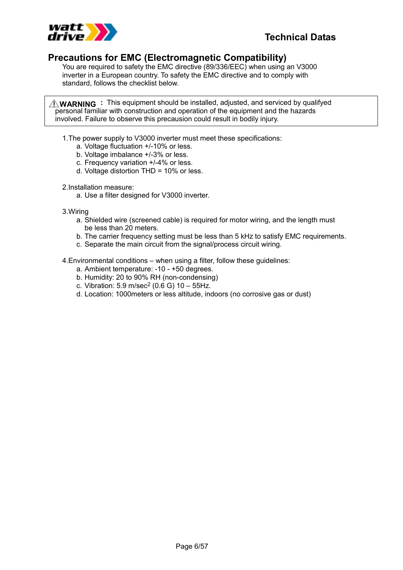

#### **Precautions for EMC (Electromagnetic Compatibility)**

You are required to safety the EMC directive (89/336/EEC) when using an V3000 inverter in a European country. To safety the EMC directive and to comply with standard, follows the checklist below.

 **:** This equipment should be installed, adjusted, and serviced by qualifyed **WARNING**personal familiar with construction and operation of the equipment and the hazards involved. Failure to observe this precausion could result in bodily injury.

- 1. The power supply to V3000 inverter must meet these specifications:
	- a. Voltage fluctuation +/-10% or less.
	- b. Voltage imbalance +/-3% or less.
	- c. Frequency variation +/-4% or less.
	- d. Voltage distortion THD = 10% or less.

2. Installation measure:

a. Use a filter designed for V3000 inverter.

3. Wiring

- a. Shielded wire (screened cable) is required for motor wiring, and the length must be less than 20 meters.
- b. The carrier frequency setting must be less than 5 kHz to satisfy EMC requirements.
- c. Separate the main circuit from the signal/process circuit wiring.
- 4. Environmental conditions when using a filter, follow these guidelines:
	- a. Ambient temperature: -10 +50 degrees.
	- b. Humidity: 20 to 90% RH (non-condensing)
	- c. Vibration:  $5.9 \text{ m/sec}^2$  (0.6 G)  $10 55$ Hz.
	- d. Location: 1000meters or less altitude, indoors (no corrosive gas or dust)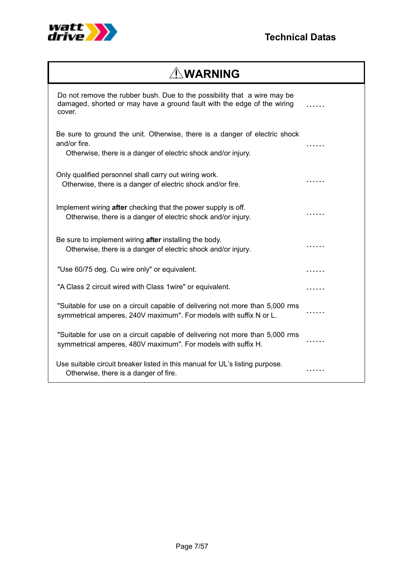

# **WARNING**

| Do not remove the rubber bush. Due to the possibility that a wire may be<br>damaged, shorted or may have a ground fault with the edge of the wiring<br>cover. |   |
|---------------------------------------------------------------------------------------------------------------------------------------------------------------|---|
| Be sure to ground the unit. Otherwise, there is a danger of electric shock<br>and/or fire.<br>Otherwise, there is a danger of electric shock and/or injury.   | . |
| Only qualified personnel shall carry out wiring work.<br>Otherwise, there is a danger of electric shock and/or fire.                                          |   |
| Implement wiring after checking that the power supply is off.<br>Otherwise, there is a danger of electric shock and/or injury.                                | . |
| Be sure to implement wiring after installing the body.<br>Otherwise, there is a danger of electric shock and/or injury.                                       |   |
| "Use 60/75 deg. Cu wire only" or equivalent.                                                                                                                  | . |
| "A Class 2 circuit wired with Class 1 wire" or equivalent.                                                                                                    | . |
| "Suitable for use on a circuit capable of delivering not more than 5,000 rms<br>symmetrical amperes, 240V maximum". For models with suffix N or L.            | . |
| "Suitable for use on a circuit capable of delivering not more than 5,000 rms<br>symmetrical amperes, 480V maximum". For models with suffix H.                 |   |
| Use suitable circuit breaker listed in this manual for UL's listing purpose.<br>Otherwise, there is a danger of fire.                                         | . |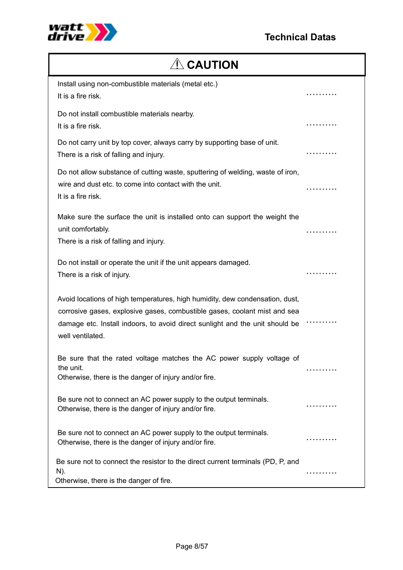

# $\triangle$  CAUTION

| Install using non-combustible materials (metal etc.)<br>It is a fire risk.                                                                                                                                                                                    | .          |
|---------------------------------------------------------------------------------------------------------------------------------------------------------------------------------------------------------------------------------------------------------------|------------|
| Do not install combustible materials nearby.<br>It is a fire risk.                                                                                                                                                                                            | .          |
| Do not carry unit by top cover, always carry by supporting base of unit.<br>There is a risk of falling and injury.                                                                                                                                            | . <b>.</b> |
| Do not allow substance of cutting waste, sputtering of welding, waste of iron,<br>wire and dust etc. to come into contact with the unit.<br>It is a fire risk.                                                                                                | .          |
| Make sure the surface the unit is installed onto can support the weight the<br>unit comfortably.<br>There is a risk of falling and injury.                                                                                                                    | .          |
| Do not install or operate the unit if the unit appears damaged.<br>There is a risk of injury.                                                                                                                                                                 |            |
| Avoid locations of high temperatures, high humidity, dew condensation, dust,<br>corrosive gases, explosive gases, combustible gases, coolant mist and sea<br>damage etc. Install indoors, to avoid direct sunlight and the unit should be<br>well ventilated. |            |
| Be sure that the rated voltage matches the AC power supply voltage of<br>the unit.<br>Otherwise, there is the danger of injury and/or fire                                                                                                                    | .          |
| Be sure not to connect an AC power supply to the output terminals.<br>Otherwise, there is the danger of injury and/or fire.                                                                                                                                   | .          |
| Be sure not to connect an AC power supply to the output terminals.<br>Otherwise, there is the danger of injury and/or fire.                                                                                                                                   |            |
| Be sure not to connect the resistor to the direct current terminals (PD, P, and<br>$N$ ).<br>Otherwise, there is the danger of fire.                                                                                                                          |            |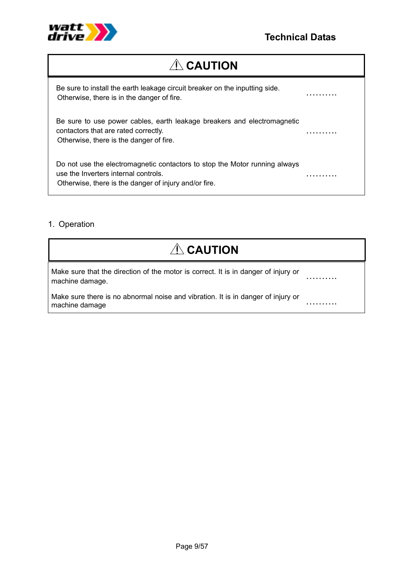

……….

……….

# **ACAUTION**

Be sure to install the earth leakage circuit breaker on the inputting side. Otherwise, there is in the danger of fire.

Be sure to use power cables, earth leakage breakers and electromagnetic contactors that are rated correctly. Otherwise, there is the danger of fire.

Do not use the electromagnetic contactors to stop the Motor running always use the Inverters internal controls. Otherwise, there is the danger of injury and/or fire.

#### 1. Operation

| $\triangle$ CAUTION                                                                                   |  |
|-------------------------------------------------------------------------------------------------------|--|
| Make sure that the direction of the motor is correct. It is in danger of injury or<br>machine damage. |  |
| Make sure there is no abnormal noise and vibration. It is in danger of injury or<br>machine damage    |  |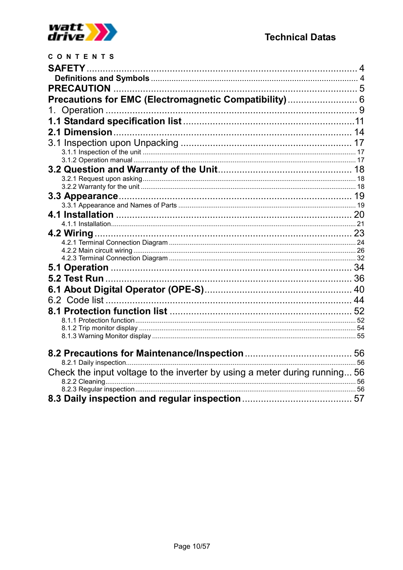

| CONTENTS                                                                   |  |
|----------------------------------------------------------------------------|--|
|                                                                            |  |
|                                                                            |  |
|                                                                            |  |
| Precautions for EMC (Electromagnetic Compatibility) 6                      |  |
|                                                                            |  |
|                                                                            |  |
|                                                                            |  |
|                                                                            |  |
|                                                                            |  |
|                                                                            |  |
|                                                                            |  |
|                                                                            |  |
|                                                                            |  |
|                                                                            |  |
|                                                                            |  |
|                                                                            |  |
|                                                                            |  |
|                                                                            |  |
|                                                                            |  |
|                                                                            |  |
|                                                                            |  |
|                                                                            |  |
|                                                                            |  |
|                                                                            |  |
|                                                                            |  |
|                                                                            |  |
|                                                                            |  |
|                                                                            |  |
|                                                                            |  |
| Check the input voltage to the inverter by using a meter during running 56 |  |
|                                                                            |  |
|                                                                            |  |
|                                                                            |  |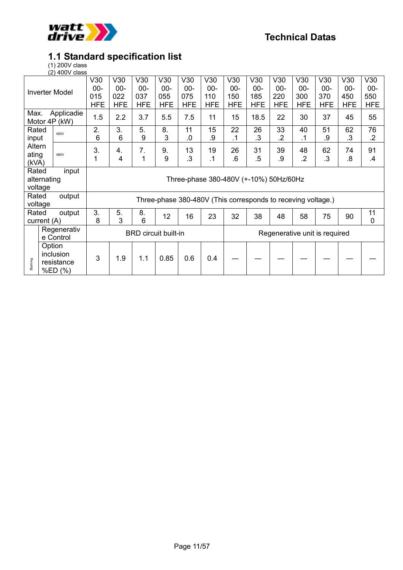

### **1.1 Standard specification list**

(1) 200V class

|                  | (2) 400V class              |            |                                        |                             |            |                                                              |            |            |            |                |                               |            |            |             |
|------------------|-----------------------------|------------|----------------------------------------|-----------------------------|------------|--------------------------------------------------------------|------------|------------|------------|----------------|-------------------------------|------------|------------|-------------|
|                  |                             | V30        | V30                                    | V30                         | V30        | V30                                                          | V30        | V30        | V30        | V30            | V30                           | V30        | V30        | V30         |
|                  | <b>Inverter Model</b>       | $00 -$     | $00 -$                                 | $00 -$                      | $00 -$     | $00 -$                                                       | $00 -$     | $00 -$     | $00 -$     | $00 -$         | $00 -$                        | $00 -$     | $00 -$     | $00 -$      |
|                  |                             | 015        | 022                                    | 037                         | 055        | 075                                                          | 110        | 150        | 185        | 220            | 300                           | 370        | 450        | 550         |
|                  |                             | <b>HFE</b> | <b>HFE</b>                             | <b>HFE</b>                  | <b>HFE</b> | <b>HFE</b>                                                   | <b>HFE</b> | <b>HFE</b> | <b>HFE</b> | <b>HFE</b>     | <b>HFE</b>                    | <b>HFE</b> | <b>HFE</b> | <b>HFE</b>  |
| Max.             | Applicadie<br>Motor 4P (kW) | 1.5        | 2.2                                    | 3.7                         | 5.5        | 7.5                                                          | 11         | 15         | 18.5       | 22             | 30                            | 37         | 45         | 55          |
| Rated            | 400V                        | 2.         | 3.                                     | 5.                          | 8.         | 11                                                           | 15         | 22         | 26         | 33             | 40                            | 51         | 62         | 76          |
| input            |                             | 6          | 6                                      | 9                           | 3          | 0.                                                           | .9         | .1         | .3         | $\overline{2}$ | $\cdot$ 1                     | .9         | $\cdot$ 3  | $\cdot$     |
| Altern           |                             | 3.         | 4.                                     | 7.                          | 9.         | 13                                                           | 19         | 26         | 31         | 39             | 48                            | 62         | 74         | 91          |
| ating            | 480V                        | 1          |                                        | 1                           | 9          | .3                                                           | $\cdot$ 1  | .6         | .5         | .9             | $\overline{2}$                | .3         | .8         |             |
| (kVA)            |                             |            | 4                                      |                             |            |                                                              |            |            |            |                |                               |            |            | $\cdot$     |
| Rated            | input                       |            |                                        |                             |            |                                                              |            |            |            |                |                               |            |            |             |
|                  | alternating                 |            | Three-phase 380-480V (+-10%) 50Hz/60Hz |                             |            |                                                              |            |            |            |                |                               |            |            |             |
| voltage          |                             |            |                                        |                             |            |                                                              |            |            |            |                |                               |            |            |             |
| Rated<br>voltage | output                      |            |                                        |                             |            | Three-phase 380-480V (This corresponds to receving voltage.) |            |            |            |                |                               |            |            |             |
| Rated            | output                      | 3.         | 5.                                     | 8.                          |            |                                                              |            |            |            |                |                               |            |            | 11          |
|                  | current (A)                 | 8          | 3                                      | 6                           | 12         | 16                                                           | 23         | 32         | 38         | 48             | 58                            | 75         | 90         | $\mathbf 0$ |
|                  | Regenerativ                 |            |                                        |                             |            |                                                              |            |            |            |                |                               |            |            |             |
|                  | e Control                   |            |                                        | <b>BRD</b> circuit built-in |            |                                                              |            |            |            |                | Regenerative unit is required |            |            |             |
|                  | Option                      |            |                                        |                             |            |                                                              |            |            |            |                |                               |            |            |             |
|                  | inclusion                   |            |                                        |                             |            |                                                              |            |            |            |                |                               |            |            |             |
| Start-ing        | resistance                  | 3          | 1.9                                    | 1.1                         | 0.85       | 0.6                                                          | 0.4        |            |            |                |                               |            |            |             |
|                  | %ED (%)                     |            |                                        |                             |            |                                                              |            |            |            |                |                               |            |            |             |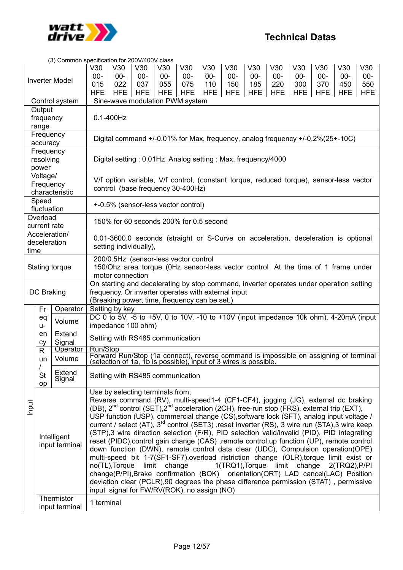

|       |              | (3) Common specification for 200V/400V class |                                                                                                                              |                                                                                                              |            |            |            |            |            |            |            |                                                                                                                   |            |            |            |  |
|-------|--------------|----------------------------------------------|------------------------------------------------------------------------------------------------------------------------------|--------------------------------------------------------------------------------------------------------------|------------|------------|------------|------------|------------|------------|------------|-------------------------------------------------------------------------------------------------------------------|------------|------------|------------|--|
|       |              |                                              | V30                                                                                                                          | V30                                                                                                          | V30        | V30        | V30        | V30        | V30        | V30        | V30        | V30                                                                                                               | V30        | V30        | V30        |  |
|       |              |                                              | $00 -$                                                                                                                       | $00-$                                                                                                        | $00-$      | $00 -$     | $00 -$     | $00-$      | $00 -$     | $00 -$     | $00-$      | $00 -$                                                                                                            | $00 -$     | $00 -$     | $00 -$     |  |
|       |              | <b>Inverter Model</b>                        | 015                                                                                                                          | 022                                                                                                          | 037        | 055        | 075        | 110        | 150        | 185        | 220        | 300                                                                                                               | 370        | 450        | 550        |  |
|       |              |                                              | <b>HFE</b>                                                                                                                   | <b>HFE</b>                                                                                                   | <b>HFE</b> | <b>HFE</b> | <b>HFE</b> | <b>HFE</b> | <b>HFE</b> | <b>HFE</b> | <b>HFE</b> | <b>HFE</b>                                                                                                        | <b>HFE</b> | <b>HFE</b> | <b>HFE</b> |  |
|       |              | Control system                               |                                                                                                                              |                                                                                                              |            |            |            |            |            |            |            |                                                                                                                   |            |            |            |  |
|       | Output       |                                              |                                                                                                                              | Sine-wave modulation PWM system                                                                              |            |            |            |            |            |            |            |                                                                                                                   |            |            |            |  |
|       | frequency    |                                              | $0.1 - 400$ Hz                                                                                                               |                                                                                                              |            |            |            |            |            |            |            |                                                                                                                   |            |            |            |  |
|       | range        |                                              |                                                                                                                              |                                                                                                              |            |            |            |            |            |            |            |                                                                                                                   |            |            |            |  |
|       | Frequency    |                                              |                                                                                                                              |                                                                                                              |            |            |            |            |            |            |            |                                                                                                                   |            |            |            |  |
|       | accuracy     |                                              |                                                                                                                              |                                                                                                              |            |            |            |            |            |            |            | Digital command +/-0.01% for Max. frequency, analog frequency +/-0.2%(25+-10C)                                    |            |            |            |  |
|       | Frequency    |                                              |                                                                                                                              |                                                                                                              |            |            |            |            |            |            |            |                                                                                                                   |            |            |            |  |
|       | resolving    |                                              | Digital setting: 0.01Hz Analog setting: Max. frequency/4000                                                                  |                                                                                                              |            |            |            |            |            |            |            |                                                                                                                   |            |            |            |  |
|       | power        |                                              |                                                                                                                              |                                                                                                              |            |            |            |            |            |            |            |                                                                                                                   |            |            |            |  |
|       | Voltage/     |                                              |                                                                                                                              |                                                                                                              |            |            |            |            |            |            |            |                                                                                                                   |            |            |            |  |
|       | Frequency    |                                              |                                                                                                                              |                                                                                                              |            |            |            |            |            |            |            |                                                                                                                   |            |            |            |  |
|       |              | characteristic                               | V/f option variable, V/f control, (constant torque, reduced torque), sensor-less vector<br>control (base frequency 30-400Hz) |                                                                                                              |            |            |            |            |            |            |            |                                                                                                                   |            |            |            |  |
|       | Speed        |                                              |                                                                                                                              |                                                                                                              |            |            |            |            |            |            |            |                                                                                                                   |            |            |            |  |
|       | fluctuation  |                                              |                                                                                                                              | +-0.5% (sensor-less vector control)                                                                          |            |            |            |            |            |            |            |                                                                                                                   |            |            |            |  |
|       | Overload     |                                              |                                                                                                                              |                                                                                                              |            |            |            |            |            |            |            |                                                                                                                   |            |            |            |  |
|       | current rate |                                              |                                                                                                                              | 150% for 60 seconds 200% for 0.5 second                                                                      |            |            |            |            |            |            |            |                                                                                                                   |            |            |            |  |
|       |              | Acceleration/                                |                                                                                                                              |                                                                                                              |            |            |            |            |            |            |            |                                                                                                                   |            |            |            |  |
|       |              | deceleration                                 |                                                                                                                              |                                                                                                              |            |            |            |            |            |            |            |                                                                                                                   |            |            |            |  |
| time  |              |                                              |                                                                                                                              | 0.01-3600.0 seconds (straight or S-Curve on acceleration, deceleration is optional<br>setting individually), |            |            |            |            |            |            |            |                                                                                                                   |            |            |            |  |
|       |              |                                              |                                                                                                                              | 200/0.5Hz (sensor-less vector control                                                                        |            |            |            |            |            |            |            |                                                                                                                   |            |            |            |  |
|       |              | Stating torque                               |                                                                                                                              |                                                                                                              |            |            |            |            |            |            |            |                                                                                                                   |            |            |            |  |
|       |              |                                              |                                                                                                                              | 150/Ohz area torque (OHz sensor-less vector control At the time of 1 frame under<br>motor connection         |            |            |            |            |            |            |            |                                                                                                                   |            |            |            |  |
|       |              |                                              |                                                                                                                              |                                                                                                              |            |            |            |            |            |            |            | On starting and decelerating by stop command, inverter operates under operation setting                           |            |            |            |  |
|       | DC Braking   |                                              |                                                                                                                              |                                                                                                              |            |            |            |            |            |            |            |                                                                                                                   |            |            |            |  |
|       |              |                                              | frequency. Or inverter operates with external input<br>(Breaking power, time, frequency can be set.)                         |                                                                                                              |            |            |            |            |            |            |            |                                                                                                                   |            |            |            |  |
|       | Fr           | Operator                                     |                                                                                                                              | Setting by key.                                                                                              |            |            |            |            |            |            |            |                                                                                                                   |            |            |            |  |
|       | eq           |                                              |                                                                                                                              |                                                                                                              |            |            |            |            |            |            |            | DC 0 to 5V, -5 to +5V, 0 to 10V, -10 to +10V (input impedance 10k ohm), 4-20mA (input                             |            |            |            |  |
|       | $U -$        | Volume                                       |                                                                                                                              | impedance 100 ohm)                                                                                           |            |            |            |            |            |            |            |                                                                                                                   |            |            |            |  |
|       | en           | Extend                                       |                                                                                                                              |                                                                                                              |            |            |            |            |            |            |            |                                                                                                                   |            |            |            |  |
|       | cy           | Signal                                       |                                                                                                                              | Setting with RS485 communication                                                                             |            |            |            |            |            |            |            |                                                                                                                   |            |            |            |  |
|       | $\mathsf{R}$ | Operator                                     | Run/Stop                                                                                                                     |                                                                                                              |            |            |            |            |            |            |            |                                                                                                                   |            |            |            |  |
|       | un           | Volume                                       |                                                                                                                              |                                                                                                              |            |            |            |            |            |            |            | Forward Run/Stop (1a connect), reverse command is impossible on assigning of terminal                             |            |            |            |  |
|       | $\prime$     |                                              |                                                                                                                              | (selection of 1a, 1b is possible), input of 3 wires is possible.                                             |            |            |            |            |            |            |            |                                                                                                                   |            |            |            |  |
|       | <b>St</b>    | Extend                                       |                                                                                                                              | Setting with RS485 communication                                                                             |            |            |            |            |            |            |            |                                                                                                                   |            |            |            |  |
|       | op           | Signal                                       |                                                                                                                              |                                                                                                              |            |            |            |            |            |            |            |                                                                                                                   |            |            |            |  |
|       |              |                                              |                                                                                                                              | Use by selecting terminals from;                                                                             |            |            |            |            |            |            |            |                                                                                                                   |            |            |            |  |
|       |              |                                              |                                                                                                                              |                                                                                                              |            |            |            |            |            |            |            | Reverse command (RV), multi-speed1-4 (CF1-CF4), jogging (JG), external dc braking                                 |            |            |            |  |
| Input |              |                                              |                                                                                                                              |                                                                                                              |            |            |            |            |            |            |            | (DB), 2 <sup>nd</sup> control (SET),2 <sup>nd</sup> acceleration (2CH), free-run stop (FRS), external trip (EXT), |            |            |            |  |
|       |              |                                              |                                                                                                                              |                                                                                                              |            |            |            |            |            |            |            | USP function (USP), commercial change (CS), software lock (SFT), analog input voltage /                           |            |            |            |  |
|       |              |                                              |                                                                                                                              |                                                                                                              |            |            |            |            |            |            |            | current / select (AT), 3 <sup>rd</sup> control (SET3), reset inverter (RS), 3 wire run (STA), 3 wire keep         |            |            |            |  |
|       |              |                                              |                                                                                                                              |                                                                                                              |            |            |            |            |            |            |            | (STP),3 wire direction selection (F/R), PID selection valid/invalid (PID), PID integrating                        |            |            |            |  |
|       |              | Intelligent                                  |                                                                                                                              |                                                                                                              |            |            |            |            |            |            |            | reset (PIDC), control gain change (CAS), remote control, up function (UP), remote control                         |            |            |            |  |
|       |              | input terminal                               |                                                                                                                              |                                                                                                              |            |            |            |            |            |            |            | down function (DWN), remote control data clear (UDC), Compulsion operation(OPE)                                   |            |            |            |  |
|       |              |                                              |                                                                                                                              |                                                                                                              |            |            |            |            |            |            |            | multi-speed bit 1-7(SF1-SF7), overload ristriction change (OLR), torque limit exist or                            |            |            |            |  |
|       |              |                                              |                                                                                                                              | no(TL), Torque limit change                                                                                  |            |            |            |            |            |            |            | 1(TRQ1), Torque limit change 2(TRQ2), P/PI                                                                        |            |            |            |  |
|       |              |                                              |                                                                                                                              |                                                                                                              |            |            |            |            |            |            |            | change(P/PI), Brake confirmation (BOK) orientation (ORT) LAD cancel (LAC) Position                                |            |            |            |  |
|       |              |                                              |                                                                                                                              |                                                                                                              |            |            |            |            |            |            |            | deviation clear (PCLR),90 degrees the phase difference permission (STAT), permissive                              |            |            |            |  |
|       |              |                                              |                                                                                                                              | input signal for FW/RV(ROK), no assign (NO)                                                                  |            |            |            |            |            |            |            |                                                                                                                   |            |            |            |  |
|       |              | Thermistor                                   |                                                                                                                              |                                                                                                              |            |            |            |            |            |            |            |                                                                                                                   |            |            |            |  |
|       |              | input terminal                               | 1 terminal                                                                                                                   |                                                                                                              |            |            |            |            |            |            |            |                                                                                                                   |            |            |            |  |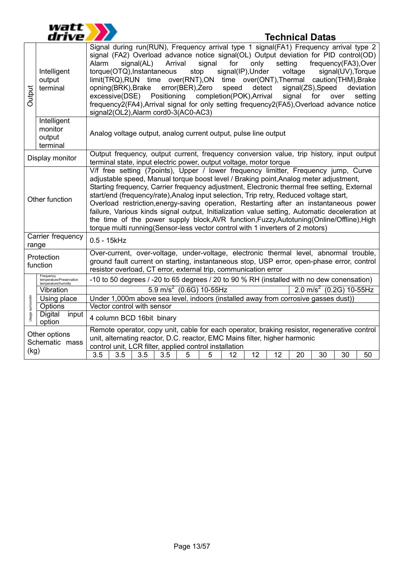

# **Technical Datas**

| Output           | Intelligent<br>output<br>terminal                            | Signal during run(RUN), Frequency arrival type 1 signal(FA1) Frequency arrival type 2<br>signal (FA2) Overload advance notice signal(OL) Output deviation for PID control(OD)<br>only<br>Arrival<br>signal<br>for<br>setting<br>frequency(FA3), Over<br>Alarm<br>signal(AL)<br>signal(IP), Under<br>torque(OTQ), Instantaneous<br>voltage<br>signal(UV), Torque<br>stop<br>limit(TRQ),RUN time over(RNT),ON time over(ONT),Thermal caution(THM),Brake<br>opning(BRK), Brake<br>error(BER), Zero<br>detect<br>signal(ZS), Speed<br>speed<br>deviation<br>Positioning<br>completion(POK), Arrival<br>excessive(DSE)<br>signal<br>for<br>setting<br>over<br>frequency2(FA4), Arrival signal for only setting frequency2(FA5), Overload advance notice<br>signal2(OL2), Alarm cord0-3(AC0-AC3) |  |  |  |  |  |  |  |  |  |  |  |
|------------------|--------------------------------------------------------------|--------------------------------------------------------------------------------------------------------------------------------------------------------------------------------------------------------------------------------------------------------------------------------------------------------------------------------------------------------------------------------------------------------------------------------------------------------------------------------------------------------------------------------------------------------------------------------------------------------------------------------------------------------------------------------------------------------------------------------------------------------------------------------------------|--|--|--|--|--|--|--|--|--|--|--|
|                  | Intelligent<br>monitor<br>output<br>terminal                 | Analog voltage output, analog current output, pulse line output                                                                                                                                                                                                                                                                                                                                                                                                                                                                                                                                                                                                                                                                                                                            |  |  |  |  |  |  |  |  |  |  |  |
|                  | Display monitor                                              | Output frequency, output current, frequency conversion value, trip history, input output<br>terminal state, input electric power, output voltage, motor torque                                                                                                                                                                                                                                                                                                                                                                                                                                                                                                                                                                                                                             |  |  |  |  |  |  |  |  |  |  |  |
|                  | Other function                                               | V/f free setting (7points), Upper / lower frequency limitter, Frequency jump, Curve<br>adjustable speed, Manual torque boost level / Braking point, Analog meter adjustment,<br>Starting frequency, Carrier frequency adjustment, Electronic thermal free setting, External<br>start/end (frequency/rate), Analog input selection, Trip retry, Reduced voltage start,<br>Overload restriction, energy-saving operation, Restarting after an instantaneous power<br>failure, Various kinds signal output, Initialization value setting, Automatic deceleration at<br>the time of the power supply block, AVR function, Fuzzy, Autotuning (Online/Offline), High<br>torque multi running(Sensor-less vector control with 1 inverters of 2 motors)                                            |  |  |  |  |  |  |  |  |  |  |  |
| range            | Carrier frequency                                            | $0.5 - 15k$ Hz                                                                                                                                                                                                                                                                                                                                                                                                                                                                                                                                                                                                                                                                                                                                                                             |  |  |  |  |  |  |  |  |  |  |  |
|                  | Protection<br>function                                       | Over-current, over-voltage, under-voltage, electronic thermal level, abnormal trouble,<br>ground fault current on starting, instantaneous stop, USP error, open-phase error, control<br>resistor overload, CT error, external trip, communication error                                                                                                                                                                                                                                                                                                                                                                                                                                                                                                                                    |  |  |  |  |  |  |  |  |  |  |  |
|                  | Frequency<br>temperature/Preservation<br>temperature/humidty | -10 to 50 degrees / -20 to 65 degrees / 20 to 90 % RH (installed with no dew conensation)                                                                                                                                                                                                                                                                                                                                                                                                                                                                                                                                                                                                                                                                                                  |  |  |  |  |  |  |  |  |  |  |  |
|                  | Vibration                                                    | $5.9$ m/s <sup>2</sup> (0.6G) 10-55Hz<br>$2.0 \text{ m/s}^2$ (0.2G) 10-55Hz                                                                                                                                                                                                                                                                                                                                                                                                                                                                                                                                                                                                                                                                                                                |  |  |  |  |  |  |  |  |  |  |  |
| Usage surroundin | Using place                                                  | Under 1,000m above sea level, indoors (installed away from corrosive gasses dust))                                                                                                                                                                                                                                                                                                                                                                                                                                                                                                                                                                                                                                                                                                         |  |  |  |  |  |  |  |  |  |  |  |
|                  | Options                                                      | Vector control with sensor                                                                                                                                                                                                                                                                                                                                                                                                                                                                                                                                                                                                                                                                                                                                                                 |  |  |  |  |  |  |  |  |  |  |  |
|                  | <b>Digital</b><br>input<br>option                            | 4 column BCD 16bit binary                                                                                                                                                                                                                                                                                                                                                                                                                                                                                                                                                                                                                                                                                                                                                                  |  |  |  |  |  |  |  |  |  |  |  |
| (kg)             | Other options<br>Schematic mass                              | Remote operator, copy unit, cable for each operator, braking resistor, regenerative control<br>unit, alternating reactor, D.C. reactor, EMC Mains filter, higher harmonic<br>control unit, LCR filter, applied control installation<br>$\overline{3.5}$<br>3.5<br>3.5<br>3.5<br>12<br>12<br>30<br>30<br>5<br>5<br>12<br>20<br>50                                                                                                                                                                                                                                                                                                                                                                                                                                                           |  |  |  |  |  |  |  |  |  |  |  |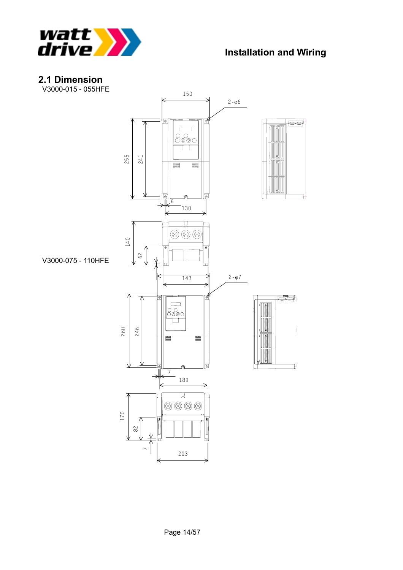

# **2.1 Dimension**

V3000-015 - 055HFE

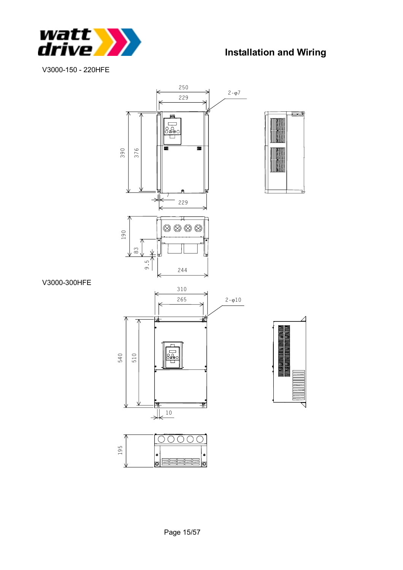

V3000-150 - 220HFE



#### V3000-300HFE



lol

 $\bullet$ 昌 lol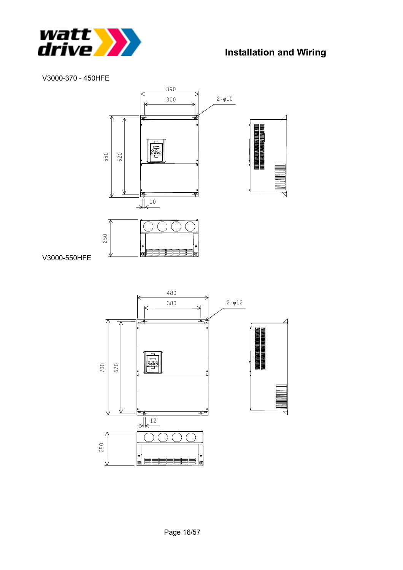

#### V3000-370 - 450HFE



V3000-550HFE

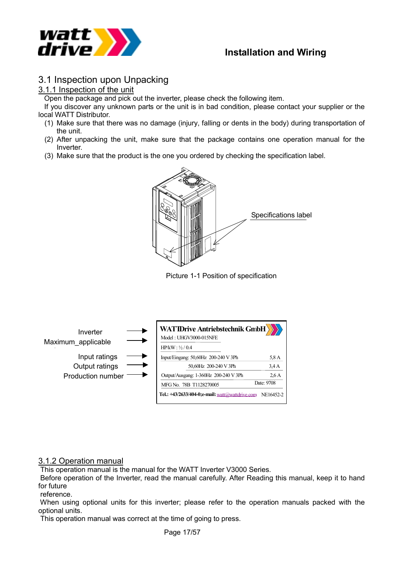

### 3.1 Inspection upon Unpacking

#### 3.1.1 Inspection of the unit

Open the package and pick out the inverter, please check the following item.

 If you discover any unknown parts or the unit is in bad condition, please contact your supplier or the local WATT Distributor.

- (1) Make sure that there was no damage (injury, falling or dents in the body) during transportation of the unit.
- (2) After unpacking the unit, make sure that the package contains one operation manual for the Inverter.
- (3) Make sure that the product is the one you ordered by checking the specification label.



Picture 1-1 Position of specification



#### 3.1.2 Operation manual

This operation manual is the manual for the WATT Inverter V3000 Series.

 Before operation of the Inverter, read the manual carefully. After Reading this manual, keep it to hand for future

reference.

 When using optional units for this inverter; please refer to the operation manuals packed with the optional units.

This operation manual was correct at the time of going to press.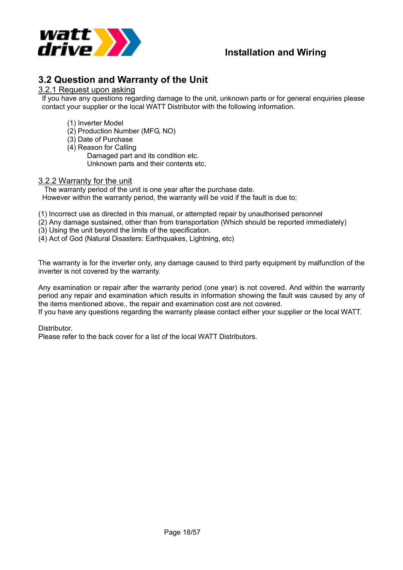

### **3.2 Question and Warranty of the Unit**

#### 3.2.1 Request upon asking

If you have any questions regarding damage to the unit, unknown parts or for general enquiries please contact your supplier or the local WATT Distributor with the following information.

- (1) Inverter Model
- (2) Production Number (MFG, NO)
- (3) Date of Purchase
- (4) Reason for Calling

Damaged part and its condition etc. Unknown parts and their contents etc.

#### 3.2.2 Warranty for the unit

 The warranty period of the unit is one year after the purchase date. However within the warranty period, the warranty will be void if the fault is due to;

(1) Incorrect use as directed in this manual, or attempted repair by unauthorised personnel

(2) Any damage sustained, other than from transportation (Which should be reported immediately)

(3) Using the unit beyond the limits of the specification.

(4) Act of God (Natural Disasters: Earthquakes, Lightning, etc)

The warranty is for the inverter only, any damage caused to third party equipment by malfunction of the inverter is not covered by the warranty.

Any examination or repair after the warranty period (one year) is not covered. And within the warranty period any repair and examination which results in information showing the fault was caused by any of the items mentioned above,. the repair and examination cost are not covered.

If you have any questions regarding the warranty please contact either your supplier or the local WATT.

Distributor.

Please refer to the back cover for a list of the local WATT Distributors.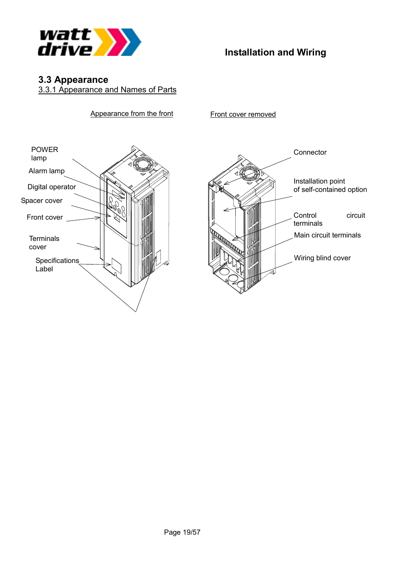

# **3.3 Appearance**

3.3.1 Appearance and Names of Parts

Appearance from the front



Front cover removed

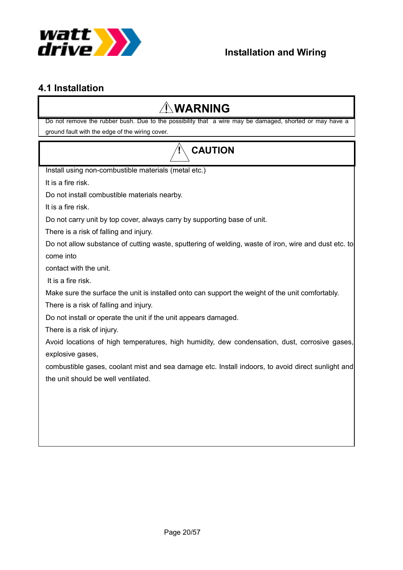

# **4.1 Installation**

# **WARNING**

Do not remove the rubber bush. Due to the possibility that a wire may be damaged, shorted or may have a ground fault with the edge of the wiring cover.

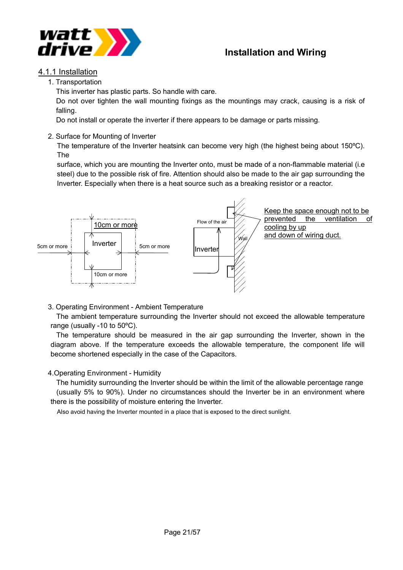



#### 4.1.1 Installation

1. Transportation

This inverter has plastic parts. So handle with care.

Do not over tighten the wall mounting fixings as the mountings may crack, causing is a risk of falling.

Do not install or operate the inverter if there appears to be damage or parts missing.

2. Surface for Mounting of Inverter

The temperature of the Inverter heatsink can become very high (the highest being about 150ºC). The

surface, which you are mounting the Inverter onto, must be made of a non-flammable material (i.e steel) due to the possible risk of fire. Attention should also be made to the air gap surrounding the Inverter. Especially when there is a heat source such as a breaking resistor or a reactor.



3. Operating Environment - Ambient Temperature

 The ambient temperature surrounding the Inverter should not exceed the allowable temperature range (usually -10 to 50ºC).

 The temperature should be measured in the air gap surrounding the Inverter, shown in the diagram above. If the temperature exceeds the allowable temperature, the component life will become shortened especially in the case of the Capacitors.

#### 4.Operating Environment - Humidity

 The humidity surrounding the Inverter should be within the limit of the allowable percentage range (usually 5% to 90%). Under no circumstances should the Inverter be in an environment where there is the possibility of moisture entering the Inverter.

Also avoid having the Inverter mounted in a place that is exposed to the direct sunlight.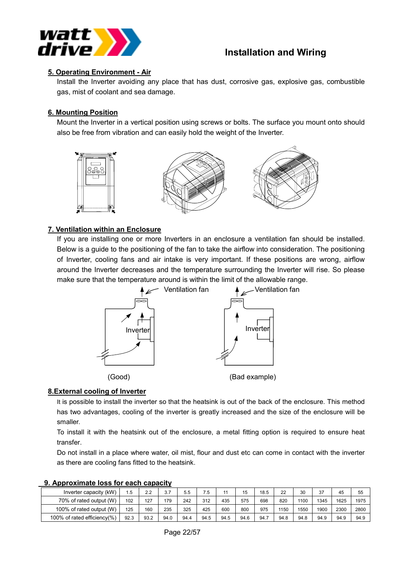

#### **5. Operating Environment - Air**

Install the Inverter avoiding any place that has dust, corrosive gas, explosive gas, combustible gas, mist of coolant and sea damage.

#### **6. Mounting Position**

Mount the Inverter in a vertical position using screws or bolts. The surface you mount onto should also be free from vibration and can easily hold the weight of the Inverter.



#### **7. Ventilation within an Enclosure**

If you are installing one or more Inverters in an enclosure a ventilation fan should be installed. Below is a guide to the positioning of the fan to take the airflow into consideration. The positioning of Inverter, cooling fans and air intake is very important. If these positions are wrong, airflow around the Inverter decreases and the temperature surrounding the Inverter will rise. So please make sure that the temperature around is within the limit of the allowable range.



#### **8.External cooling of Inverter**

It is possible to install the inverter so that the heatsink is out of the back of the enclosure. This method has two advantages, cooling of the inverter is greatly increased and the size of the enclosure will be smaller.

To install it with the heatsink out of the enclosure, a metal fitting option is required to ensure heat transfer.

Do not install in a place where water, oil mist, flour and dust etc can come in contact with the inverter as there are cooling fans fitted to the heatsink.

| <u>YI A WWI YANIINASY IVYY IVI YMYII YMMWYIAT</u> |      |      |      |      |      |      |      |      |      |      |      |      |      |
|---------------------------------------------------|------|------|------|------|------|------|------|------|------|------|------|------|------|
| Inverter capacity (kW)                            | 1.5  | 2.2  | 3.7  | 5.5  | 7.5  | 11   | 15   | 18.5 | 22   | 30   | 37   | 45   | 55   |
| 70% of rated output (W)                           | 102  | 127  | 179  | 242  | 312  | 435  | 575  | 698  | 820  | 1100 | 1345 | 1625 | 1975 |
| 100% of rated output (W)                          | 125  | 160  | 235  | 325  | 425  | 600  | 800  | 975  | 1150 | 1550 | 1900 | 2300 | 2800 |
| 100% of rated efficiency(%)                       | 92.3 | 93.2 | 94.0 | 94.4 | 94.5 | 94.5 | 94.6 | 94.  | 94.8 | 94.8 | 94.9 | 94.9 | 94.9 |

#### **9. Approximate loss for each capacity**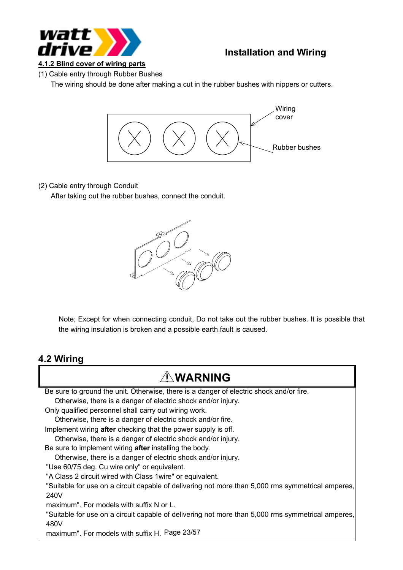

**4.1.2 Blind cover of wiring parts**

(1) Cable entry through Rubber Bushes

The wiring should be done after making a cut in the rubber bushes with nippers or cutters.



#### (2) Cable entry through Conduit

After taking out the rubber bushes, connect the conduit.



Note; Except for when connecting conduit, Do not take out the rubber bushes. It is possible that the wiring insulation is broken and a possible earth fault is caused.

#### **4.2 Wiring**

# **WARNING**

maximum". For models with suffix H. Page 23/57 Be sure to ground the unit. Otherwise, there is a danger of electric shock and/or fire. Otherwise, there is a danger of electric shock and/or injury. Only qualified personnel shall carry out wiring work. Otherwise, there is a danger of electric shock and/or fire. Implement wiring **after** checking that the power supply is off. Otherwise, there is a danger of electric shock and/or injury. Be sure to implement wiring **after** installing the body. Otherwise, there is a danger of electric shock and/or injury. "Use 60/75 deg. Cu wire only" or equivalent. "A Class 2 circuit wired with Class 1wire" or equivalent. "Suitable for use on a circuit capable of delivering not more than 5,000 rms symmetrical amperes, 240V maximum". For models with suffix N or L. "Suitable for use on a circuit capable of delivering not more than 5,000 rms symmetrical amperes, 480V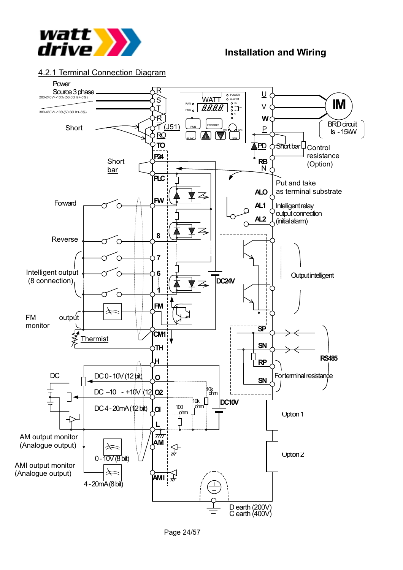

#### 4.2.1 Terminal Connection Diagram

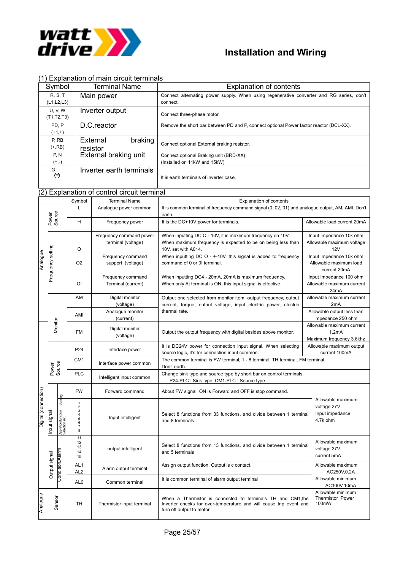

#### (1) Explanation of main circuit terminals

| Symbol                       | <b>Terminal Name</b>     | <b>Explanation of contents</b>                                                           |
|------------------------------|--------------------------|------------------------------------------------------------------------------------------|
| <b>R.S.T</b>                 | Main power               | Connect alternating power supply. When using regenerative converter and RG series, don't |
| (L1,L2,L3)                   |                          | connect.                                                                                 |
| <b>U.V.W</b><br>(T1, T2, T3) | Inverter output          | Connect three-phase motor.                                                               |
| PD. P                        | D.C.reactor              | Remove the short bar between PD and P, connect optional Power factor reactor (DCL-XX).   |
| $(+1,+)$                     |                          |                                                                                          |
| P, RB                        | braking<br>External      |                                                                                          |
| $(+,RB)$                     | resistor                 | Connect optional External braking resistor.                                              |
| P, N                         | External braking unit    | Connect optional Braking unit (BRD-XX).                                                  |
| $(+,-)$                      |                          | (Installed on 11kW and 15kW)                                                             |
| G                            | Inverter earth terminals |                                                                                          |
| ⊜                            |                          | It is earth terminals of inverter case.                                                  |

#### (2) Explanation of control circuit terminal

|                      |                   |                                                 | Symbol                                                                                                                 | <b>Terminal Name</b>                          | <b>Explanation of contents</b>                                                                                                                                 |                                                                   |  |  |
|----------------------|-------------------|-------------------------------------------------|------------------------------------------------------------------------------------------------------------------------|-----------------------------------------------|----------------------------------------------------------------------------------------------------------------------------------------------------------------|-------------------------------------------------------------------|--|--|
|                      |                   |                                                 | L                                                                                                                      | Analogue power common                         | It is common terminal of frequency command signal (0, 02, 01) and analogue output, AM, AMI. Don't<br>earth.                                                    |                                                                   |  |  |
|                      | Power<br>Source   |                                                 | H                                                                                                                      | Frequency power                               | It is the DC+10V power for terminals.                                                                                                                          | Allowable load current 20mA                                       |  |  |
|                      |                   |                                                 | O                                                                                                                      | Frequency command power<br>terminal (voltage) | When inputting DC O - 10V, it is maximum frequency on 10V.<br>When maximum frequency is expected to be on being less than<br>10V, set with A014.               | Input Impedance 10k ohm<br>Allowable maximum voltage<br>12V       |  |  |
| Analogue             | Frequency setting |                                                 | O <sub>2</sub>                                                                                                         | Frequency command<br>support (voltage)        | When inputting $DCO - +10V$ , this signal is added to frequency<br>command of 0 or 01 terminal.                                                                | Input Impedance 10k ohm<br>Allowable maximum load<br>current 20mA |  |  |
|                      |                   |                                                 | O <sub>1</sub>                                                                                                         | Frequency command<br>Terminal (current)       | When inputting DC4 - 20mA, 20mA is maximum frequency.<br>When only At terminal is ON, this input signal is effective.                                          | Input Impedance 100 ohm<br>Allowable maximum current<br>24mA      |  |  |
|                      |                   |                                                 | AM                                                                                                                     | Digital monitor<br>(voltage)                  | Output one selected from monitor item, output frequency, output<br>current, torque, output voltage, input electric power, electric                             | Allowable maximum current<br>2mA                                  |  |  |
|                      |                   |                                                 | AMI                                                                                                                    | Analogue monitor<br>(current)                 | thermal rate.                                                                                                                                                  | Allowable output less than<br>Impedance 250 ohm                   |  |  |
|                      | Monitor           |                                                 | <b>FM</b>                                                                                                              | Digital monitor<br>(voltage)                  | Output the output frequency with digital besides above monitor.                                                                                                | Allowable maximum current<br>1.2mA<br>Maximum frequency 3.6khz    |  |  |
|                      |                   |                                                 | P24                                                                                                                    | Interface power                               | It is DC24V power for connection input signal. When selecting<br>source logic, it's for connection input common.                                               | Allowable maximum output<br>current 100mA                         |  |  |
|                      | Power<br>Source   |                                                 | CM <sub>1</sub>                                                                                                        | Interface power common                        | The common terminal is FW terminal, 1 - 8 terminal, TH terminal, FM terminal,<br>Don't earth.                                                                  |                                                                   |  |  |
|                      |                   |                                                 | <b>PLC</b>                                                                                                             | Intelligent input common                      | Change sink type and source type by short bar on control terminals.<br>P24-PLC : Sink type CM1-PLC : Source type                                               |                                                                   |  |  |
|                      |                   |                                                 | <b>FW</b>                                                                                                              | Forward command                               | About FW signal, ON is Forward and OFF is stop command.                                                                                                        |                                                                   |  |  |
| Digital (connection) | leuɓis<br>Input   | Setting<br>Operation/function<br>Selection etc. | $\mathbf{1}$<br>$\mathbf 2$<br>3<br>$\frac{4}{5}$<br>Input intelligent<br>and 8 terminals.<br>6<br>$\overline{7}$<br>8 |                                               | Select 8 functions from 33 functions, and divide between 1 terminal                                                                                            | Allowable maximum<br>voltage 27V<br>Input impedance<br>4.7k ohm   |  |  |
|                      |                   |                                                 | 11<br>12<br>13<br>14<br>15                                                                                             | output intelligent                            | Select 8 functions from 13 functions, and divide between 1 terminal<br>and 5 terminals                                                                         | Allowable maximum<br>voltage 27V<br>current 5mA                   |  |  |
|                      | Output signal     | Condition/Alarm                                 | AL <sub>1</sub><br>AL <sub>2</sub>                                                                                     | Alarm output terminal                         | Assign output function. Output is c contact.                                                                                                                   | Allowable maximum<br>AC250V,0.2A                                  |  |  |
|                      |                   |                                                 | AL <sub>0</sub><br>Common terminal                                                                                     |                                               | It is common terminal of alarm output terminal                                                                                                                 | Allowable minimum<br>AC100V,10mA                                  |  |  |
| Analogue             |                   | Sensor<br>TH<br>Thermistor input terminal       |                                                                                                                        |                                               | When a Thermistor is connected to terminals TH and CM1, the<br>Inverter checks for over-temperature and will cause trip event and<br>turn off output to motor. | Allowable minimum<br><b>Thermistor Power</b><br>100mW             |  |  |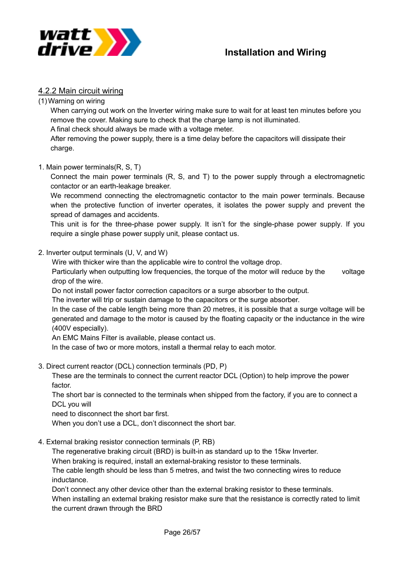

#### 4.2.2 Main circuit wiring

(1) Warning on wiring

When carrying out work on the Inverter wiring make sure to wait for at least ten minutes before you remove the cover. Making sure to check that the charge lamp is not illuminated.

A final check should always be made with a voltage meter.

After removing the power supply, there is a time delay before the capacitors will dissipate their charge.

#### 1. Main power terminals(R, S, T)

Connect the main power terminals (R, S, and T) to the power supply through a electromagnetic contactor or an earth-leakage breaker.

We recommend connecting the electromagnetic contactor to the main power terminals. Because when the protective function of inverter operates, it isolates the power supply and prevent the spread of damages and accidents.

This unit is for the three-phase power supply. It isn't for the single-phase power supply. If you require a single phase power supply unit, please contact us.

#### 2. Inverter output terminals (U, V, and W)

Wire with thicker wire than the applicable wire to control the voltage drop.

Particularly when outputting low frequencies, the torque of the motor will reduce by the voltage drop of the wire.

Do not install power factor correction capacitors or a surge absorber to the output.

The inverter will trip or sustain damage to the capacitors or the surge absorber.

In the case of the cable length being more than 20 metres, it is possible that a surge voltage will be generated and damage to the motor is caused by the floating capacity or the inductance in the wire (400V especially).

An EMC Mains Filter is available, please contact us.

In the case of two or more motors, install a thermal relay to each motor.

3. Direct current reactor (DCL) connection terminals (PD, P)

These are the terminals to connect the current reactor DCL (Option) to help improve the power factor.

The short bar is connected to the terminals when shipped from the factory, if you are to connect a DCL you will

need to disconnect the short bar first.

When you don't use a DCL, don't disconnect the short bar.

4. External braking resistor connection terminals (P, RB)

The regenerative braking circuit (BRD) is built-in as standard up to the 15kw Inverter.

When braking is required, install an external-braking resistor to these terminals.

The cable length should be less than 5 metres, and twist the two connecting wires to reduce inductance.

Don't connect any other device other than the external braking resistor to these terminals.

When installing an external braking resistor make sure that the resistance is correctly rated to limit the current drawn through the BRD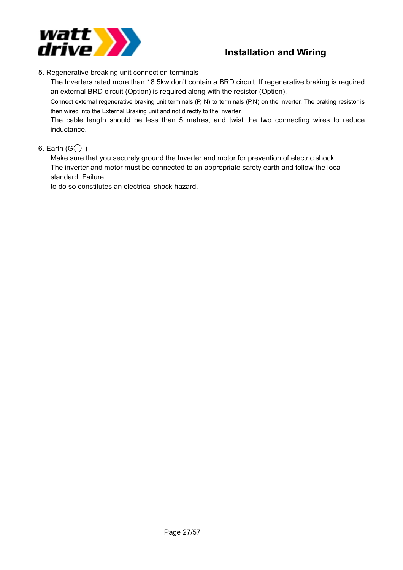

5. Regenerative breaking unit connection terminals

The Inverters rated more than 18.5kw don't contain a BRD circuit. If regenerative braking is required an external BRD circuit (Option) is required along with the resistor (Option).

Connect external regenerative braking unit terminals (P, N) to terminals (P,N) on the inverter. The braking resistor is then wired into the External Braking unit and not directly to the Inverter.

The cable length should be less than 5 metres, and twist the two connecting wires to reduce inductance.

#### 6. Earth  $(G \oplus )$

Make sure that you securely ground the Inverter and motor for prevention of electric shock. The inverter and motor must be connected to an appropriate safety earth and follow the local standard. Failure

to do so constitutes an electrical shock hazard.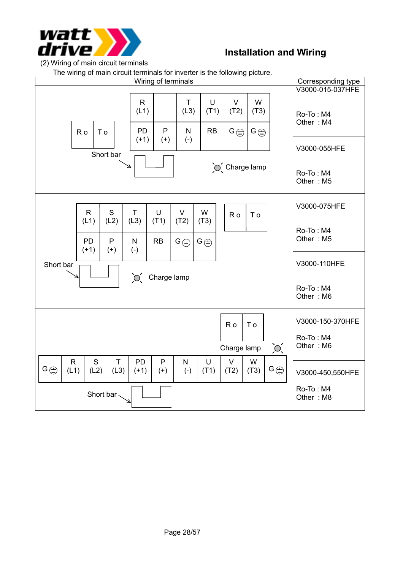

The wiring of main circuit terminals for inverter is the following picture.

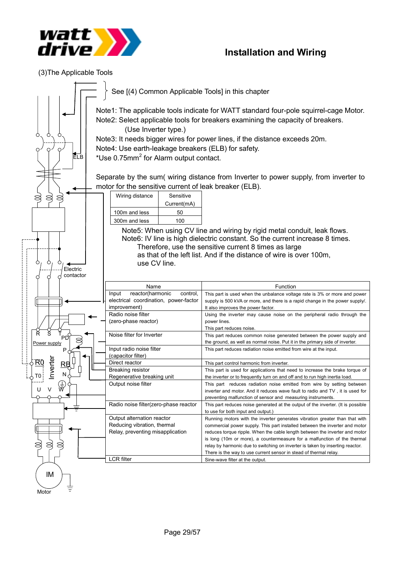

(3)The Applicable Tools

|                                                                                     | See [(4) Common Applicable Tools] in this chapter                                                                                                                                                |                                                                                                                                                                                                                                                                                          |  |  |  |  |  |  |  |  |
|-------------------------------------------------------------------------------------|--------------------------------------------------------------------------------------------------------------------------------------------------------------------------------------------------|------------------------------------------------------------------------------------------------------------------------------------------------------------------------------------------------------------------------------------------------------------------------------------------|--|--|--|--|--|--|--|--|
|                                                                                     | Note1: The applicable tools indicate for WATT standard four-pole squirrel-cage Motor.<br>Note2: Select applicable tools for breakers examining the capacity of breakers.<br>(Use Inverter type.) |                                                                                                                                                                                                                                                                                          |  |  |  |  |  |  |  |  |
| О<br>О                                                                              |                                                                                                                                                                                                  | Note3: It needs bigger wires for power lines, if the distance exceeds 20m.                                                                                                                                                                                                               |  |  |  |  |  |  |  |  |
| ∩                                                                                   | Note4: Use earth-leakage breakers (ELB) for safety.                                                                                                                                              |                                                                                                                                                                                                                                                                                          |  |  |  |  |  |  |  |  |
| ELB                                                                                 | *Use 0.75mm <sup>2</sup> for Alarm output contact.                                                                                                                                               |                                                                                                                                                                                                                                                                                          |  |  |  |  |  |  |  |  |
|                                                                                     |                                                                                                                                                                                                  |                                                                                                                                                                                                                                                                                          |  |  |  |  |  |  |  |  |
|                                                                                     |                                                                                                                                                                                                  | Separate by the sum(wiring distance from Inverter to power supply, from inverter to                                                                                                                                                                                                      |  |  |  |  |  |  |  |  |
|                                                                                     | motor for the sensitive current of leak breaker (ELB).                                                                                                                                           |                                                                                                                                                                                                                                                                                          |  |  |  |  |  |  |  |  |
|                                                                                     | Wiring distance<br>Sensitive                                                                                                                                                                     |                                                                                                                                                                                                                                                                                          |  |  |  |  |  |  |  |  |
|                                                                                     | Current(mA)                                                                                                                                                                                      |                                                                                                                                                                                                                                                                                          |  |  |  |  |  |  |  |  |
|                                                                                     | 100m and less<br>50                                                                                                                                                                              |                                                                                                                                                                                                                                                                                          |  |  |  |  |  |  |  |  |
|                                                                                     | 300m and less<br>100                                                                                                                                                                             |                                                                                                                                                                                                                                                                                          |  |  |  |  |  |  |  |  |
| $\circ$<br>Electric<br>contactor                                                    | use CV line.                                                                                                                                                                                     | Note5: When using CV line and wiring by rigid metal conduit, leak flows.<br>Note6: IV line is high dielectric constant. So the current increase 8 times.<br>Therefore, use the sensitive current 8 times as large<br>as that of the left list. And if the distance of wire is over 100m, |  |  |  |  |  |  |  |  |
|                                                                                     | Name                                                                                                                                                                                             | Function                                                                                                                                                                                                                                                                                 |  |  |  |  |  |  |  |  |
|                                                                                     | reactor(harmonic<br>control,<br>Input                                                                                                                                                            | This part is used when the unbalance voltage rate is 3% or more and power                                                                                                                                                                                                                |  |  |  |  |  |  |  |  |
|                                                                                     | electrical coordination, power-factor<br>improvement)                                                                                                                                            | supply is 500 kVA or more, and there is a rapid change in the power supply.<br>It also improves the power factor.                                                                                                                                                                        |  |  |  |  |  |  |  |  |
|                                                                                     | Radio noise filter                                                                                                                                                                               | Using the inverter may cause noise on the peripheral radio through the                                                                                                                                                                                                                   |  |  |  |  |  |  |  |  |
|                                                                                     | (zero-phase reactor)                                                                                                                                                                             | power lines.                                                                                                                                                                                                                                                                             |  |  |  |  |  |  |  |  |
|                                                                                     |                                                                                                                                                                                                  | This part reduces noise.                                                                                                                                                                                                                                                                 |  |  |  |  |  |  |  |  |
| PD<br>Power supply                                                                  | Noise filter for Inverter                                                                                                                                                                        | This part reduces common noise generated between the power supply and<br>the ground, as well as normal noise. Put it in the primary side of inverter.                                                                                                                                    |  |  |  |  |  |  |  |  |
|                                                                                     | Input radio noise filter                                                                                                                                                                         | This part reduces radiation noise emitted from wire at the input.                                                                                                                                                                                                                        |  |  |  |  |  |  |  |  |
|                                                                                     | (capacitor filter)                                                                                                                                                                               |                                                                                                                                                                                                                                                                                          |  |  |  |  |  |  |  |  |
| Inverter<br>ŔÒ                                                                      | Direct reactor                                                                                                                                                                                   | This part control harmonic from inverter.                                                                                                                                                                                                                                                |  |  |  |  |  |  |  |  |
| T0                                                                                  | <b>Breaking resistor</b><br>Regenerative breaking unit                                                                                                                                           | This part is used for applications that need to increase the brake torque of<br>the inverter or to frequently turn on and off and to run high inertia load.                                                                                                                              |  |  |  |  |  |  |  |  |
| (千<br><br><br><br><br><br><br><br><br><br><br><br><br><br><br><br><br><br><br><br>U | Output noise filter                                                                                                                                                                              | This part reduces radiation noise emitted from wire by setting between<br>inverter and motor. And it reduces wave fault to radio and TV, it is used for<br>preventing malfunction of sensor and measuring instruments.                                                                   |  |  |  |  |  |  |  |  |
|                                                                                     | Radio noise filter(zero-phase reactor                                                                                                                                                            | This part reduces noise generated at the output of the inverter. (It is possible<br>to use for both input and output.)                                                                                                                                                                   |  |  |  |  |  |  |  |  |
|                                                                                     | Output alternation reactor                                                                                                                                                                       | Running motors with the inverter generates vibration greater than that with                                                                                                                                                                                                              |  |  |  |  |  |  |  |  |
|                                                                                     | Reducing vibration, thermal                                                                                                                                                                      | commercial power supply. This part installed between the inverter and motor                                                                                                                                                                                                              |  |  |  |  |  |  |  |  |
|                                                                                     | Relay, preventing misapplication                                                                                                                                                                 | reduces torque ripple. When the cable length between the inverter and motor<br>is long (10m or more), a countermeasure for a malfunction of the thermal                                                                                                                                  |  |  |  |  |  |  |  |  |
| S                                                                                   |                                                                                                                                                                                                  | relay by harmonic due to switching on inverter is taken by inserting reactor.                                                                                                                                                                                                            |  |  |  |  |  |  |  |  |
|                                                                                     | There is the way to use current sensor in stead of thermal relay.                                                                                                                                |                                                                                                                                                                                                                                                                                          |  |  |  |  |  |  |  |  |
|                                                                                     | <b>LCR</b> filter                                                                                                                                                                                | Sine-wave filter at the output.                                                                                                                                                                                                                                                          |  |  |  |  |  |  |  |  |
| IM                                                                                  |                                                                                                                                                                                                  |                                                                                                                                                                                                                                                                                          |  |  |  |  |  |  |  |  |
| Motor                                                                               |                                                                                                                                                                                                  |                                                                                                                                                                                                                                                                                          |  |  |  |  |  |  |  |  |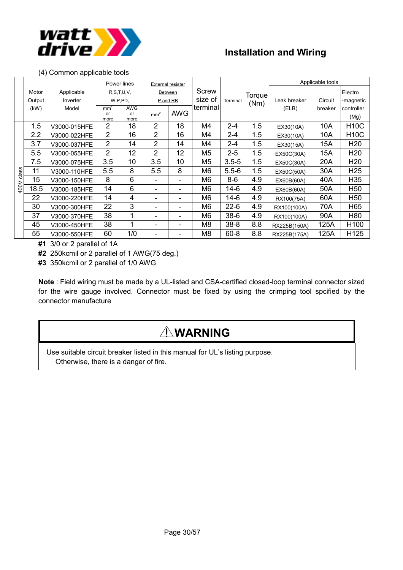

#### (4) Common applicable tools

|       |        |              |                       | Power lines | External resister             |            |                |           | <b>Torque</b><br>(Nm) | Applicable tools |         |                 |  |
|-------|--------|--------------|-----------------------|-------------|-------------------------------|------------|----------------|-----------|-----------------------|------------------|---------|-----------------|--|
|       | Motor  | Applicable   | R, S, T, U, V,        |             |                               | Between    | Screw          |           |                       |                  |         | Electro         |  |
|       | Output | Inverter     | W,P,PD,               |             | P and RB                      |            | size of        | Terminal  |                       | Leak breaker     | Circuit | -magnetic       |  |
|       | (kW)   | Model        | mm <sup>2</sup><br>or | <b>AWG</b>  | mm <sup>2</sup><br>or<br>more | <b>AWG</b> | terminal       |           |                       | (ELB)            | breaker | controller      |  |
|       |        |              | more                  |             |                               |            |                |           |                       |                  |         | (Mg)            |  |
|       | 1.5    | V3000-015HFE | 2                     | 18          | $\overline{2}$                | 18         | M4             | $2 - 4$   | 1.5                   | EX30(10A)        | 10A     | <b>H10C</b>     |  |
|       | 2.2    | V3000-022HFE | $\overline{2}$        | 16          | $\overline{2}$                | 16         | M4             | $2 - 4$   | 1.5                   | EX30(10A)        | 10A     | <b>H10C</b>     |  |
|       | 3.7    | V3000-037HFE | $\overline{2}$        | 14          | $\overline{2}$                | 14         | M4             | $2 - 4$   | 1.5                   | EX30(15A)        | 15A     | H <sub>20</sub> |  |
|       | 5.5    | V3000-055HFE | 2                     | 12<br>2     |                               | 12         | M <sub>5</sub> | $2 - 5$   | 1.5                   | EX50C(30A)       | 15A     | H <sub>20</sub> |  |
|       | 7.5    | V3000-075HFE | 3.5                   | 10          | 3.5                           | 10         | M <sub>5</sub> | $3.5 - 5$ | 1.5                   | EX50C(30A)       | 20A     | H <sub>20</sub> |  |
| class | 11     | V3000-110HFE | 5.5                   | 8           | 5.5                           | 8          | M <sub>6</sub> | $5.5 - 6$ | 1.5                   | EX50C(50A)       | 30A     | H <sub>25</sub> |  |
|       | 15     | V3000-150HFE | 8                     | 6           |                               |            | M <sub>6</sub> | $8-6$     | 4.9                   | EX60B(60A)       | 40A     | H <sub>35</sub> |  |
| 400V  | 18.5   | V3000-185HFE | 14                    | 6           |                               |            | M <sub>6</sub> | $14-6$    | 4.9                   | EX60B(60A)       | 50A     | H <sub>50</sub> |  |
|       | 22     | V3000-220HFE | 14                    | 4           |                               |            | M <sub>6</sub> | $14-6$    | 4.9                   | RX100(75A)       | 60A     | H <sub>50</sub> |  |
|       | 30     | V3000-300HFE | 22                    | 3           |                               |            | M <sub>6</sub> | $22 - 6$  | 4.9                   | RX100(100A)      | 70A     | H65             |  |
|       | 37     | V3000-370HFE | 38                    | 1           |                               |            | M <sub>6</sub> | $38-6$    | 4.9                   | RX100(100A)      | 90A     | H80             |  |
|       | 45     | V3000-450HFE | 38                    | 1           |                               |            | M <sub>8</sub> | $38 - 8$  | 8.8                   | RX225B(150A)     | 125A    | H100            |  |
|       | 55     | V3000-550HFE | 60                    | 1/0         |                               |            | M8             | $60 - 8$  | 8.8                   | RX225B(175A)     | 125A    | H125            |  |

**#1** 3/0 or 2 parallel of 1A

**#2** 250kcmil or 2 parallel of 1 AWG(75 deg.)

**#3** 350kcmil or 2 parallel of 1/0 AWG

**Note** : Field wiring must be made by a UL-listed and CSA-certified closed-loop terminal connector sized for the wire gauge involved. Connector must be fixed by using the crimping tool spcified by the connector manufacture

# **WARNING**

Use suitable circuit breaker listed in this manual for UL's listing purpose. Otherwise, there is a danger of fire.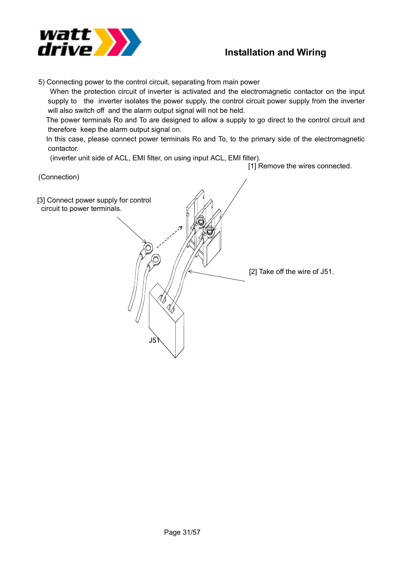

5) Connecting power to the control circuit, separating from main power

 When the protection circuit of inverter is activated and the electromagnetic contactor on the input supply to the inverter isolates the power supply, the control circuit power supply from the inverter will also switch off and the alarm output signal will not be held.

 The power terminals Ro and To are designed to allow a supply to go direct to the control circuit and therefore keep the alarm output signal on.

 In this case, please connect power terminals Ro and To, to the primary side of the electromagnetic contactor.

(inverter unit side of ACL, EMI filter, on using input ACL, EMI filter).

[1] Remove the wires connected.

(Connection) [3] Connect power supply for control circuit to power terminals. [2] Take off the wire of J51. J51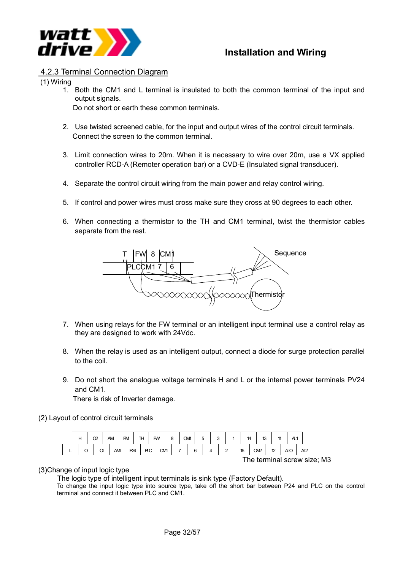

#### 4.2.3 Terminal Connection Diagram

(1) Wiring

1. Both the CM1 and L terminal is insulated to both the common terminal of the input and output signals.

Do not short or earth these common terminals.

- 2. Use twisted screened cable, for the input and output wires of the control circuit terminals. Connect the screen to the common terminal.
- 3. Limit connection wires to 20m. When it is necessary to wire over 20m, use a VX applied controller RCD-A (Remoter operation bar) or a CVD-E (Insulated signal transducer).
- 4. Separate the control circuit wiring from the main power and relay control wiring.
- 5. If control and power wires must cross make sure they cross at 90 degrees to each other.
- 6. When connecting a thermistor to the TH and CM1 terminal, twist the thermistor cables separate from the rest.



- 7. When using relays for the FW terminal or an intelligent input terminal use a control relay as they are designed to work with 24Vdc.
- 8. When the relay is used as an intelligent output, connect a diode for surge protection parallel to the coil.
- 9. Do not short the analogue voltage terminals H and L or the internal power terminals PV24 and CM1.

There is risk of Inverter damage.

(2) Layout of control circuit terminals

|   | н | œ      | AM |    | <b>FM</b> | TH |     | <b>FW</b> | o | CМ1 | 5 |  |   | 14 |                              | 13 |    | AL1 |    |  |
|---|---|--------|----|----|-----------|----|-----|-----------|---|-----|---|--|---|----|------------------------------|----|----|-----|----|--|
| − |   | ⌒<br>U |    | AM | P24       |    | РLC | CМ1       |   | 6   |   |  | - | 15 | <b>CM2</b>                   |    | 12 | АLC | A2 |  |
|   |   |        |    |    |           |    |     |           |   |     |   |  |   |    | The terminal carour $\alpha$ |    |    |     |    |  |

The terminal screw size; M3

#### (3)Change of input logic type

The logic type of intelligent input terminals is sink type (Factory Default).

To change the input logic type into source type, take off the short bar between P24 and PLC on the control terminal and connect it between PLC and CM1.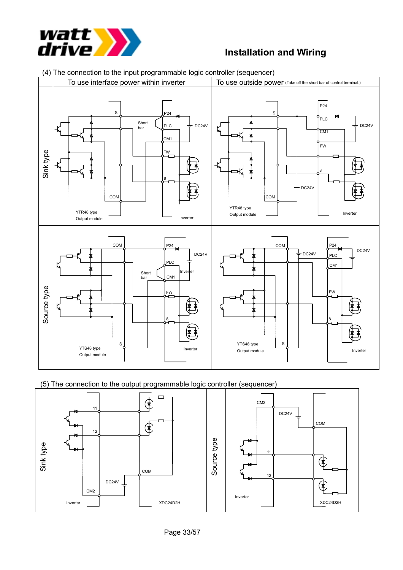



(4) The connection to the input programmable logic controller (sequencer)

(5) The connection to the output programmable logic controller (sequencer)

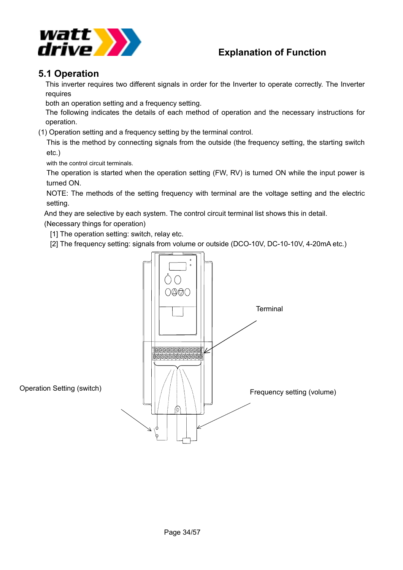

#### **5.1 Operation**

This inverter requires two different signals in order for the Inverter to operate correctly. The Inverter requires

both an operation setting and a frequency setting.

The following indicates the details of each method of operation and the necessary instructions for operation.

(1) Operation setting and a frequency setting by the terminal control.

This is the method by connecting signals from the outside (the frequency setting, the starting switch etc.)

with the control circuit terminals.

The operation is started when the operation setting (FW, RV) is turned ON while the input power is turned ON.

NOTE: The methods of the setting frequency with terminal are the voltage setting and the electric setting.

And they are selective by each system. The control circuit terminal list shows this in detail.

(Necessary things for operation)

[1] The operation setting: switch, relay etc.

[2] The frequency setting: signals from volume or outside (DCO-10V, DC-10-10V, 4-20mA etc.)

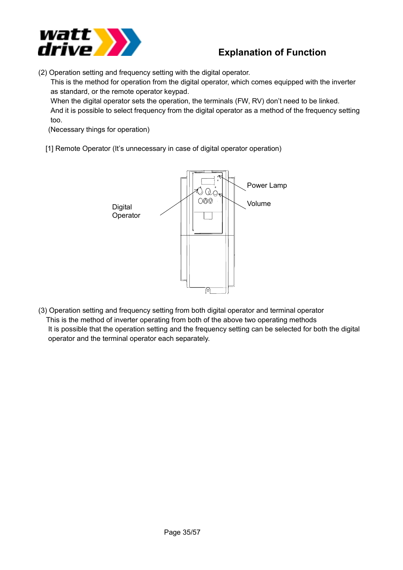

(2) Operation setting and frequency setting with the digital operator.

This is the method for operation from the digital operator, which comes equipped with the inverter as standard, or the remote operator keypad.

When the digital operator sets the operation, the terminals (FW, RV) don't need to be linked. And it is possible to select frequency from the digital operator as a method of the frequency setting too.

(Necessary things for operation)

[1] Remote Operator (It's unnecessary in case of digital operator operation)



(3) Operation setting and frequency setting from both digital operator and terminal operator This is the method of inverter operating from both of the above two operating methods It is possible that the operation setting and the frequency setting can be selected for both the digital operator and the terminal operator each separately.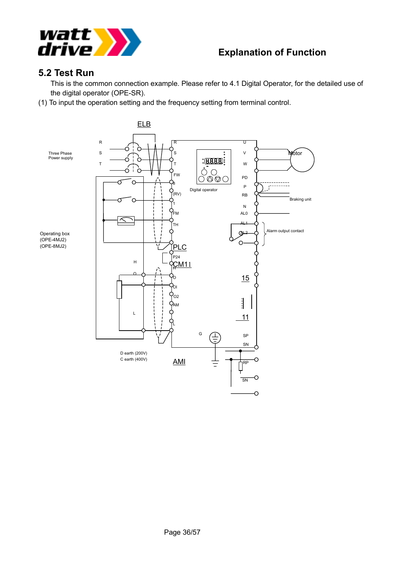

#### **5.2 Test Run**

This is the common connection example. Please refer to 4.1 Digital Operator, for the detailed use of the digital operator (OPE-SR).

(1) To input the operation setting and the frequency setting from terminal control.

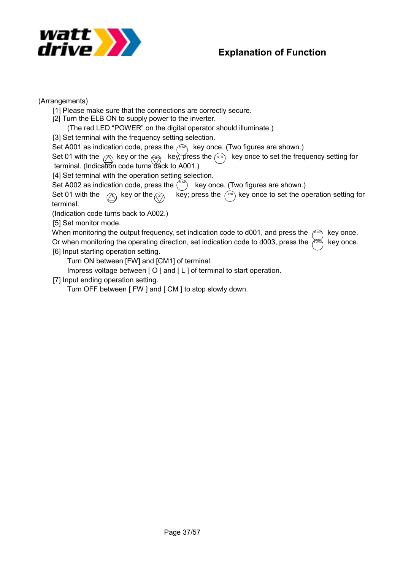

(Arrangements)

[1] Please make sure that the connections are correctly secure.

[2] Turn the ELB ON to supply power to the inverter.

(The red LED "POWER" on the digital operator should illuminate.)

[3] Set terminal with the frequency setting selection.

Set A001 as indication code, press the  $\ell^{\text{EMO}}$  key once. (Two figures are shown.)

Set 01 with the  $\oslash$  key or the  $\oslash$  key, press the  $\left(\sin$  key once to set the frequency setting for terminal. (Indication code turns back to A001.)

[4] Set terminal with the operation setting selection.

Set A002 as indication code, press the  $\binom{r_{\text{UMC}}}{r_{\text{UMC}}}$  key once. (Two figures are shown.)

Set 01 with the  $\otimes$  key or the  $\otimes$  key; press the  $\otimes$  key once to set the operation setting for terminal. Set 01 with the  $\oslash$  key or the  $\oslash$ 

(Indication code turns back to A002.)

[5] Set monitor mode.

When monitoring the output frequency, set indication code to d001, and press the  $\ell_{\text{max}}$  key once. Or when monitoring the operating direction, set indication code to d003, press the  $\chi^{\text{max}}$  key once. [6] Input starting operation setting. FUNC

Turn ON between [FW] and [CM1] of terminal.

Impress voltage between [ O ] and [ L ] of terminal to start operation.

[7] Input ending operation setting.

Turn OFF between [ FW ] and [ CM ] to stop slowly down.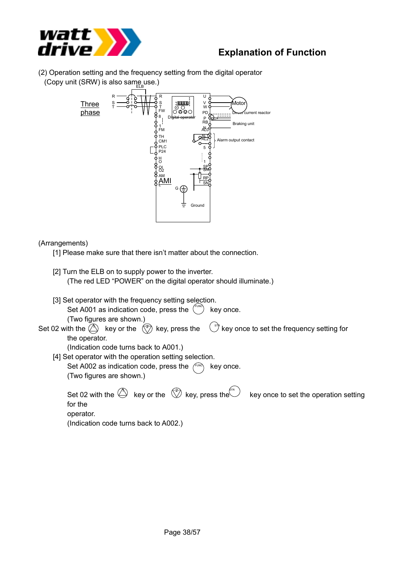

(2) Operation setting and the frequency setting from the digital operator (Copy unit (SRW) is also same use.)



#### (Arrangements)

[1] Please make sure that there isn't matter about the connection.

- [2] Turn the ELB on to supply power to the inverter. (The red LED "POWER" on the digital operator should illuminate.)
- [3] Set operator with the frequency setting selection.

Set A001 as indication code, press the  $\binom{true}{true}$  key once.

(Two figures are shown.)

Set 02 with the  $\langle\!\!\!\langle\Delta\rangle\!\!\!\rangle$  key or the  $\langle\langle\vec{\zeta}\rangle\!\rangle$  key, press the  $\langle\!\!\!\langle\;\;\rangle^{\text{str}}$  key once to set the frequency setting for the operator.  $\left( \sqrt[s]{s} \right)$  key once to set the frequency setting for

(Indication code turns back to A001.)

- [4] Set operator with the operation setting selection.
	- Set A002 as indication code, press the  $f^{\text{true}}$  key once. (Two figures are shown.)

Set 02 with the  $\bigoplus$  key or the  $\, \bigotimes^{\!\!\!\!\!\!\!\!\!\!\!}$  key, press the  $\, \bigoplus^{\!\!\!\!\!\!\!\!\!\!\!\!\!\!}$  key once to set the operation setting for the operator. (Indication code turns back to A002.)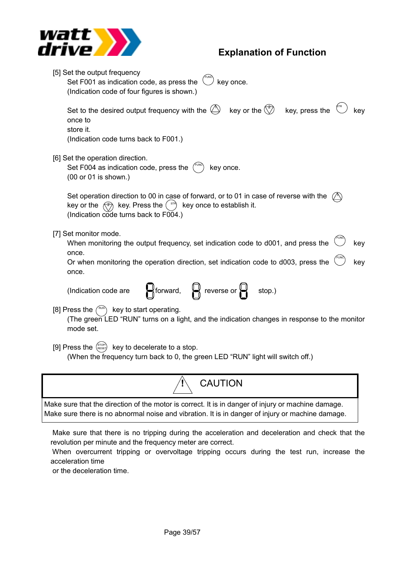

| [5] Set the output frequency<br>Set F001 as indication code, as press the<br>key once.<br>(Indication code of four figures is shown.)                                                                                                             |  |  |  |  |  |  |
|---------------------------------------------------------------------------------------------------------------------------------------------------------------------------------------------------------------------------------------------------|--|--|--|--|--|--|
| key or the $\binom{2}{2}$ key, press the<br>Set to the desired output frequency with the $\bigcirc$<br>kev<br>once to<br>store it.<br>(Indication code turns back to F001.)                                                                       |  |  |  |  |  |  |
| [6] Set the operation direction.<br>Set F004 as indication code, press the<br>key once.<br>(00 or 01 is shown.)                                                                                                                                   |  |  |  |  |  |  |
| Set operation direction to 00 in case of forward, or to 01 in case of reverse with the<br>key or the $\left(\sqrt[2]{2}\right)$ key. Press the $\left(\sqrt[312]{2}\right)$<br>key once to establish it.<br>(Indication code turns back to F004.) |  |  |  |  |  |  |
| [7] Set monitor mode.<br>When monitoring the output frequency, set indication code to d001, and press the<br>key<br>once.<br>Or when monitoring the operation direction, set indication code to d003, press the<br>key<br>once.                   |  |  |  |  |  |  |
| $\mathbb{R}$ forward, $\mathbb{R}$ reverse or $\mathbb{R}$<br>(Indication code are<br>stop.)                                                                                                                                                      |  |  |  |  |  |  |
| [8] Press the $(^{RUN})$<br>key to start operating.<br>(The green LED "RUN" turns on a light, and the indication changes in response to the monitor<br>mode set.                                                                                  |  |  |  |  |  |  |
| [9] Press the $\left(\begin{array}{cc} \text{STOP} \\ \text{RESE} \end{array}\right)$ key to decelerate to a stop.<br>(When the frequency turn back to 0, the green LED "RUN" light will switch off.)                                             |  |  |  |  |  |  |
| <b>CAUTION</b>                                                                                                                                                                                                                                    |  |  |  |  |  |  |
| Make sure that the direction of the motor is correct. It is in danger of injury or machine damage.<br>Make sure there is no abnormal noise and vibration. It is in danger of injury or machine damage.                                            |  |  |  |  |  |  |

 Make sure that there is no tripping during the acceleration and deceleration and check that the revolution per minute and the frequency meter are correct.

 When overcurrent tripping or overvoltage tripping occurs during the test run, increase the acceleration time

or the deceleration time.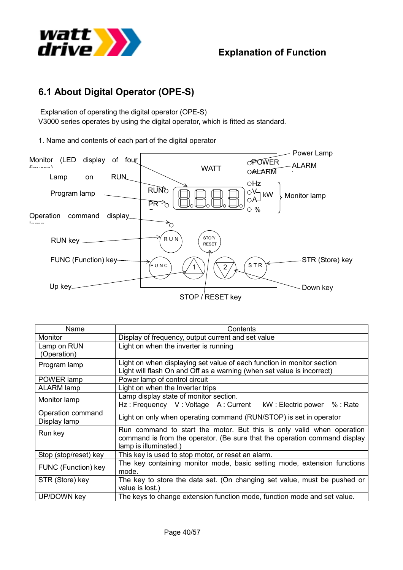

# **6.1 About Digital Operator (OPE-S)**

 Explanation of operating the digital operator (OPE-S) V3000 series operates by using the digital operator, which is fitted as standard.

1. Name and contents of each part of the digital operator



| Name                              | Contents                                                                                                                                                                    |  |  |  |  |  |
|-----------------------------------|-----------------------------------------------------------------------------------------------------------------------------------------------------------------------------|--|--|--|--|--|
| Monitor                           | Display of frequency, output current and set value                                                                                                                          |  |  |  |  |  |
| Lamp on RUN<br>(Operation)        | Light on when the inverter is running                                                                                                                                       |  |  |  |  |  |
| Program lamp                      | Light on when displaying set value of each function in monitor section<br>Light will flash On and Off as a warning (when set value is incorrect)                            |  |  |  |  |  |
| POWER lamp                        | Power lamp of control circuit                                                                                                                                               |  |  |  |  |  |
| <b>ALARM lamp</b>                 | Light on when the Inverter trips                                                                                                                                            |  |  |  |  |  |
| Monitor lamp                      | Lamp display state of monitor section.<br>Hz: Frequency V: Voltage A: Current<br>kW: Electric power %: Rate                                                                 |  |  |  |  |  |
| Operation command<br>Display lamp | Light on only when operating command (RUN/STOP) is set in operator                                                                                                          |  |  |  |  |  |
| Run key                           | Run command to start the motor. But this is only valid when operation<br>command is from the operator. (Be sure that the operation command display<br>lamp is illuminated.) |  |  |  |  |  |
| Stop (stop/reset) key             | This key is used to stop motor, or reset an alarm.                                                                                                                          |  |  |  |  |  |
| FUNC (Function) key               | The key containing monitor mode, basic setting mode, extension functions<br>mode.                                                                                           |  |  |  |  |  |
| STR (Store) key                   | The key to store the data set. (On changing set value, must be pushed or<br>value is lost.)                                                                                 |  |  |  |  |  |
| <b>UP/DOWN key</b>                | The keys to change extension function mode, function mode and set value.                                                                                                    |  |  |  |  |  |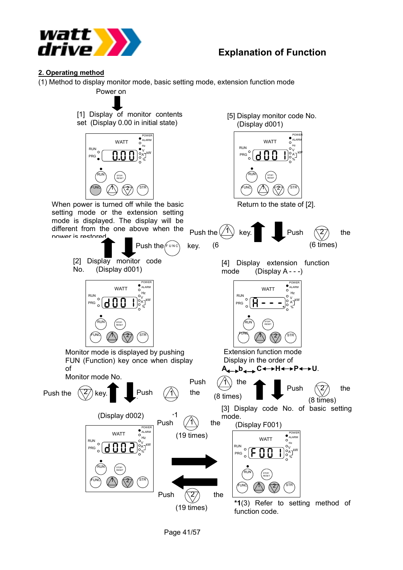

#### **2. Operating method**

(1) Method to display monitor mode, basic setting mode, extension function mode

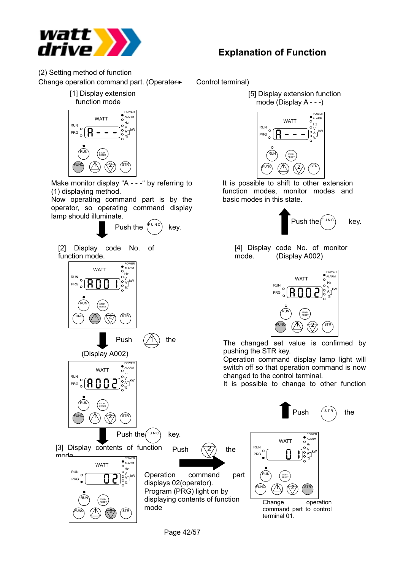

(2) Setting method of function Change operation command part. (Operator<sup>></sup> Control terminal)





Make monitor display "A - - - " by referring to (1) displaying method.

Now operating command part is by the operator, so operating command display lamp should illuminate.

Push the  $\binom{F^{\cup N C}}{F^{\cup N}}$  key.

[2] Display code No. of function mode.



**Explanation of Function**





It is possible to shift to other extension function modes, monitor modes and basic modes in this state.



[4] Display code No. of monitor mode. (Display A002)



pushing the STR key.

Operation command display lamp light will switch off so that operation command is now changed to the control terminal.

It is possible to change to other function

Push  $\binom{s}{r}$  the

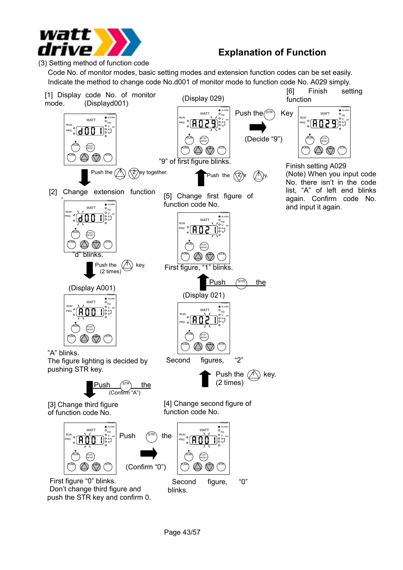

(3) Setting method of function code

Code No. of monitor modes, basic setting modes and extension function codes can be set easily. Indicate the method to change code No.d001 of monitor mode to function code No. A029 simply.

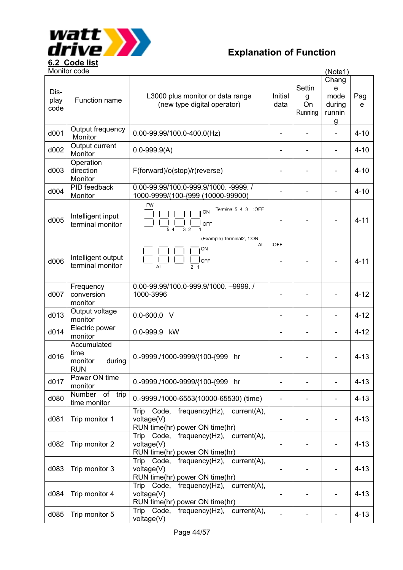

| Monitor code<br>(Note1) |                                                        |                                                                                                           |                          |                                     |                                                          |          |  |
|-------------------------|--------------------------------------------------------|-----------------------------------------------------------------------------------------------------------|--------------------------|-------------------------------------|----------------------------------------------------------|----------|--|
| Dis-<br>play<br>code    | Function name                                          | L3000 plus monitor or data range<br>(new type digital operator)                                           | Initial<br>data          | <b>Settin</b><br>g<br>On<br>Running | Chang<br>e<br>mode<br>during<br>runnin<br>$\overline{g}$ | Pag<br>e |  |
| d001                    | Output frequency<br>Monitor                            | $0.00 - 99.99/100.0 - 400.0$ (Hz)                                                                         | $\overline{\phantom{0}}$ | $\overline{a}$                      |                                                          | $4 - 10$ |  |
| d002                    | Output current<br>Monitor                              | $0.0 - 999.9(A)$                                                                                          |                          |                                     |                                                          | $4 - 10$ |  |
| d003                    | Operation<br>direction<br>Monitor                      | F(forward)/o(stop)/r(reverse)                                                                             |                          |                                     |                                                          | $4 - 10$ |  |
| d004                    | <b>PID</b> feedback<br>Monitor                         | 0.00-99.99/100.0-999.9/1000. -9999. /<br>1000-9999/{100-{999 (10000-99900)                                |                          |                                     |                                                          | $4 - 10$ |  |
| d005                    | Intelligent input<br>terminal monitor                  | <b>FW</b><br>Terminal 5 4 3<br>$\bigcirc$ FF<br>ON<br>OFF<br>$\frac{1}{3}$ 2<br>(Example) Terminal2, 1:ON |                          |                                     |                                                          | $4 - 11$ |  |
| d006                    | Intelligent output<br>terminal monitor                 | <b>AL</b><br>ON<br>loff<br>AL<br>2 <sub>1</sub>                                                           | :OFF                     |                                     |                                                          | $4 - 11$ |  |
| d007                    | Frequency<br>conversion<br>monitor                     | 0.00-99.99/100.0-999.9/1000. -9999./<br>1000-3996                                                         |                          |                                     |                                                          | $4 - 12$ |  |
| d013                    | Output voltage<br>monitor                              | $0.0 - 600.0$ V                                                                                           |                          |                                     |                                                          | $4 - 12$ |  |
| d014                    | Electric power<br>monitor                              | 0.0-999.9 kW                                                                                              |                          |                                     |                                                          | $4 - 12$ |  |
| d016                    | Accumulated<br>time<br>monitor<br>during<br><b>RUN</b> | 0.-9999./1000-9999/{100-{999<br>hr                                                                        |                          |                                     |                                                          | $4 - 13$ |  |
| d017                    | Power ON time<br>monitor                               | 0.-9999./1000-9999/{100-{999 hr                                                                           |                          |                                     |                                                          | $4 - 13$ |  |
| d080                    | Number of trip<br>time monitor                         | 0.-9999./1000-6553(10000-65530) (time)                                                                    |                          |                                     |                                                          | $4 - 13$ |  |
| d081                    | Trip monitor 1                                         | Trip Code,<br>$frequency(Hz)$ , $current(A)$ ,<br>voltage(V)<br>RUN time(hr) power ON time(hr)            |                          |                                     |                                                          | $4 - 13$ |  |
| d082                    | Trip monitor 2                                         | Trip Code,<br>$frequency(Hz)$ , $current(A)$ ,<br>voltage(V)<br>RUN time(hr) power ON time(hr)            |                          |                                     |                                                          | $4 - 13$ |  |
| d083                    | Trip monitor 3                                         | Code,<br>$frequency(Hz)$ , $current(A)$ ,<br><b>Trip</b><br>voltage(V)<br>RUN time(hr) power ON time(hr)  |                          |                                     |                                                          | $4 - 13$ |  |
| d084                    | Trip monitor 4                                         | $frequency(Hz)$ , $current(A)$ ,<br>Trip<br>Code,<br>voltage(V)<br>RUN time(hr) power ON time(hr)         |                          |                                     |                                                          | $4 - 13$ |  |
| d085                    | Trip monitor 5                                         | Trip Code,<br>frequency(Hz), current(A),<br>voltage(V)                                                    |                          |                                     |                                                          | $4 - 13$ |  |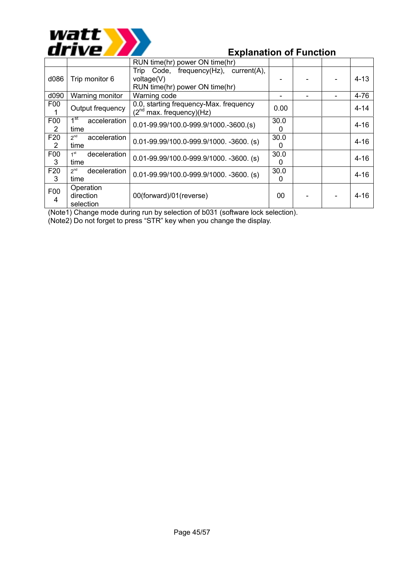

|                       |                                         | RUN time(hr) power ON time(hr)                                                        |           |  |          |
|-----------------------|-----------------------------------------|---------------------------------------------------------------------------------------|-----------|--|----------|
| d086                  | Trip monitor 6                          | Trip Code, frequency(Hz), current(A),<br>voltage(V)<br>RUN time(hr) power ON time(hr) |           |  | $4 - 13$ |
| d090                  | Warning monitor                         | Warning code                                                                          |           |  | $4 - 76$ |
| F00                   | Output frequency                        | 0.0, starting frequency-Max. frequency<br>$(2nd$ max. frequency)(Hz)                  | 0.00      |  | $4 - 14$ |
| F00<br>$\overline{2}$ | 1 <sup>st</sup><br>acceleration<br>time | $0.01 - 99.99/100.0 - 999.9/1000. - 3600. (s)$                                        | 30.0<br>0 |  | $4 - 16$ |
| F20<br>2              | $2^{nd}$<br>acceleration<br>time        | $0.01 - 99.99/100.0 - 999.9/1000. - 3600.$ (s)                                        | 30.0<br>0 |  | $4 - 16$ |
| F00<br>3              | deceleration<br>1 <sup>st</sup><br>time | $0.01 - 99.99/100.0 - 999.9/1000. -3600.$ (s)                                         | 30.0<br>0 |  | $4 - 16$ |
| F <sub>20</sub><br>3  | 2 <sup>nd</sup><br>deceleration<br>time | $0.01 - 99.99/100.0 - 999.9/1000. -3600.$ (s)                                         | 30.0<br>0 |  | $4 - 16$ |
| F00<br>4              | Operation<br>direction<br>selection     | 00(forward)/01(reverse)                                                               | 00        |  | $4 - 16$ |

(Note1) Change mode during run by selection of b031 (software lock selection).

(Note2) Do not forget to press "STR" key when you change the display.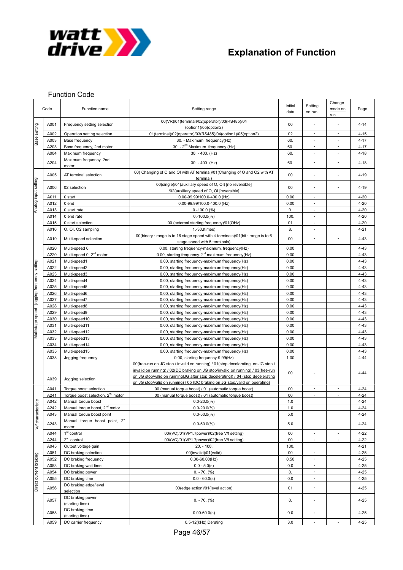

#### Function Code

|                                        | Code         | Function name                                                     | Setting range                                                                                                                                                                                                                                                                                                                            | Initial<br>data | Setting<br>on run            | Change<br>mode on<br>run | Page                 |
|----------------------------------------|--------------|-------------------------------------------------------------------|------------------------------------------------------------------------------------------------------------------------------------------------------------------------------------------------------------------------------------------------------------------------------------------------------------------------------------------|-----------------|------------------------------|--------------------------|----------------------|
|                                        | A001         | Frequency setting selection                                       | 00(VR)/01(terminal)/02(operator)/03(RS485)/04<br>(option1)/05(option2)                                                                                                                                                                                                                                                                   | 00              |                              |                          | $4 - 14$             |
| Base setting                           | A002         | Operation setting selection                                       | 01(terminal)/02(operator)/03(RS485)/04(option1)/05(option2)                                                                                                                                                                                                                                                                              | 02              | $\overline{\phantom{a}}$     | $\overline{\phantom{a}}$ | $4 - 15$             |
|                                        | A003         | Base frequency                                                    | 30. - Maximum. frequency(Hz)                                                                                                                                                                                                                                                                                                             | 60.             | $\overline{\phantom{a}}$     |                          | $4 - 17$             |
|                                        | A203         | Base frequency, 2nd motor                                         | 30. - 2 <sup>nd</sup> Maximum. frequency (Hz)                                                                                                                                                                                                                                                                                            | 60.             | $\overline{a}$               | ÷                        | $4 - 17$             |
|                                        | A004         | Maximum frequency                                                 | 30. - 400. (Hz)                                                                                                                                                                                                                                                                                                                          | 60.             | $\overline{a}$               | ÷                        | $4 - 18$             |
|                                        | A204         | Maximum frequency, 2nd<br>motor                                   | 30. - 400. (Hz)                                                                                                                                                                                                                                                                                                                          | 60.             | $\overline{a}$               |                          | $4 - 18$             |
|                                        | A005         | AT terminal selection                                             | 00( Changing of O and OI with AT terminal)/01(Changing of O and O2 with AT<br>terminal)                                                                                                                                                                                                                                                  | 00              | $\overline{\phantom{a}}$     | $\overline{\phantom{a}}$ | $4 - 19$             |
| Analog input setting                   | A006         | 02 selection                                                      | 00(single)/01(auxiliary speed of O, OI) [no reversible]<br>/02(auxiliary speed of O, OI [reversible]                                                                                                                                                                                                                                     | 00              | $\overline{\phantom{a}}$     |                          | $4 - 19$             |
|                                        | A011         | 0 start                                                           | 0.00-99.99/100.0-400.0 (Hz)                                                                                                                                                                                                                                                                                                              | 0.00            | $\overline{\phantom{a}}$     |                          | $4 - 20$             |
|                                        | A012         | 0 end                                                             | 0.00-99.99/100.0-400.0 (Hz)                                                                                                                                                                                                                                                                                                              | 0.00            | $\overline{a}$               |                          | $4 - 20$             |
|                                        | A013         | 0 start rate                                                      | $0.-100.0$ (%)                                                                                                                                                                                                                                                                                                                           | 0.              | $\overline{\phantom{a}}$     |                          | $4 - 20$             |
|                                        | A014         | 0 end rate                                                        | $0.-100.0(%)$                                                                                                                                                                                                                                                                                                                            | 100             |                              |                          | $4 - 20$             |
|                                        | A015         | 0 start selection                                                 | 00 (external starting frequency)/01(OHz)                                                                                                                                                                                                                                                                                                 | 01              | $\overline{\phantom{a}}$     |                          | $4 - 20$             |
|                                        | A016         | O, OI, O2 sampling                                                | 1.-30.(times)<br>00(binary: range is to 16 stage speed with 4 terminals)/01(bit: range is to 6                                                                                                                                                                                                                                           | 8.              | $\overline{\phantom{a}}$     |                          | $4 - 21$             |
|                                        | A019         | Multi-speed selection                                             | 00                                                                                                                                                                                                                                                                                                                                       |                 |                              | $4 - 43$                 |                      |
|                                        | A020         | Multi-speed 0                                                     | 0.00, starting frequency-maximum. frequency(Hz)                                                                                                                                                                                                                                                                                          | 0.00            |                              |                          | $4 - 43$             |
|                                        | A220         | Multi-speed 0, 2 <sup>nd</sup> motor                              | 0.00, starting frequency-2 <sup>nd</sup> maximum frequency(Hz)                                                                                                                                                                                                                                                                           | 0.00            |                              |                          | $4 - 43$             |
|                                        | A021         | Multi-speed1                                                      | 0.00, starting frequency-maximum frequency(Hz)                                                                                                                                                                                                                                                                                           | 0.00            |                              |                          | $4 - 43$             |
|                                        | A022         | Multi-speed2                                                      | 0.00, starting frequency-maximum frequency(Hz)                                                                                                                                                                                                                                                                                           | 0.00            |                              |                          | $4 - 43$             |
|                                        | A023         | Multi-speed3                                                      | 0.00, starting frequency-maximum frequency(Hz)                                                                                                                                                                                                                                                                                           | 0.00            |                              |                          | $4 - 43$             |
|                                        | A024         | Multi-speed4                                                      | 0.00, starting frequency-maximum frequency(Hz)                                                                                                                                                                                                                                                                                           | 0.00            |                              |                          | $4 - 43$             |
|                                        | A025<br>A026 | Multi-speed5                                                      | 0.00, starting frequency-maximum frequency(Hz)                                                                                                                                                                                                                                                                                           | 0.00<br>0.00    |                              |                          | $4 - 43$<br>$4 - 43$ |
|                                        | A027         | Multi-speed6<br>Multi-speed7                                      | 0.00, starting frequency-maximum frequency(Hz)<br>0.00, starting frequency-maximum frequency(Hz)                                                                                                                                                                                                                                         | 0.00            |                              |                          | $4 - 43$             |
|                                        | A028         | Multi-speed8                                                      | 0.00, starting frequency-maximum frequency(Hz)                                                                                                                                                                                                                                                                                           | 0.00            |                              |                          | $4 - 43$             |
|                                        | A029         | Multi-speed9                                                      | 0.00, starting frequency-maximum frequency(Hz)                                                                                                                                                                                                                                                                                           | 0.00            |                              |                          | $4 - 43$             |
| foumes Aouenbeu Buibbol peeds ebepsiun | A030         | Multi-speed10                                                     | 0.00, starting frequency-maximum frequency(Hz)                                                                                                                                                                                                                                                                                           | 0.00            |                              |                          | $4 - 43$             |
|                                        | A031         | Multi-speed11<br>0.00, starting frequency-maximum frequency(Hz)   |                                                                                                                                                                                                                                                                                                                                          | 0.00            |                              |                          | $4 - 43$             |
|                                        | A032         | Multi-speed12                                                     | 0.00, starting frequency-maximum frequency(Hz)                                                                                                                                                                                                                                                                                           | 0.00            |                              |                          | $4 - 43$             |
|                                        | A033         | Multi-speed13                                                     | 0.00, starting frequency-maximum frequency(Hz)                                                                                                                                                                                                                                                                                           | 0.00            |                              |                          | $4 - 43$             |
|                                        | A034         | Multi-speed14                                                     | 0.00, starting frequency-maximum frequency(Hz)                                                                                                                                                                                                                                                                                           | 0.00            |                              |                          | $4 - 43$             |
|                                        | A035         | Multi-speed15                                                     | 0.00, starting frequency-maximum frequency(Hz)                                                                                                                                                                                                                                                                                           | 0.00            |                              |                          | $4 - 43$             |
|                                        | A038         | Jogging frequency                                                 | 0.00, starting frequency-9.99(Hz)                                                                                                                                                                                                                                                                                                        | 1.00            |                              |                          | $4 - 44$             |
|                                        | A039         | Jogging selection                                                 | 00(free-run on JG stop / invalid on running) / 01(stop decelerating on JG stop /<br>invalid on running) / 02(DC braking on JG stop/invalid on running) / 03(free-run<br>on JG stop/valid on running[JG after stop decelerating]) / 04 (stop decelerating<br>on JG stop/valid on running) / 05 (DC braking on JG stop/valid on operating) | 00              |                              |                          | $4 - 44$             |
|                                        | A041         | Torque boost selection                                            | 00 (manual torque boost) / 01 (automatic torque boost)                                                                                                                                                                                                                                                                                   | 00              | $\overline{\phantom{a}}$     |                          | $4 - 24$             |
| <u>ي</u>                               | A241         | Torque boost selection, 2 <sup>nd</sup> motor                     | 00 (manual torque boost) / 01 (automatic torque boost)                                                                                                                                                                                                                                                                                   | 00              | $\overline{a}$               |                          | $4 - 24$             |
|                                        | A042         | Manual torque boost<br>Manual torque boost, 2 <sup>nd</sup> motor | $0.0 - 20.0(%$<br>$0.0 - 20.0(%)$                                                                                                                                                                                                                                                                                                        | 1.0             |                              |                          | $4 - 24$             |
|                                        | A242<br>A043 | Manual torque boost point                                         | $0.0 - 50.0(%)$                                                                                                                                                                                                                                                                                                                          | 1.0<br>5.0      |                              |                          | $4 - 24$<br>$4 - 24$ |
| V/f characterist                       | A243         | Manual torque boost point, 2 <sup>nd</sup>                        | $0.0 - 50.0(%)$                                                                                                                                                                                                                                                                                                                          | 5.0             |                              |                          | $4 - 24$             |
|                                        | A044         | motor<br>1 <sup>st</sup> control                                  | 00/(VC)/01(VP1.7power)/02(free V/f setting)                                                                                                                                                                                                                                                                                              | 00              | $\qquad \qquad \blacksquare$ |                          | $4 - 22$             |
|                                        | A244         | $2nd$ control                                                     | 00/(VC)/01(VP1.7power)/02(free V/f setting)                                                                                                                                                                                                                                                                                              | 00              |                              |                          | $4 - 22$             |
|                                        | A045         | Output voltage gain                                               | $20. - 100.$                                                                                                                                                                                                                                                                                                                             | 100             |                              |                          | $4 - 21$             |
|                                        | A051         | DC braking selection                                              | 00(invalid)/01(valid)                                                                                                                                                                                                                                                                                                                    | 00              | $\overline{\phantom{a}}$     |                          | $4 - 25$             |
|                                        | A052         | DC braking frequency                                              | $0.00 - 60.00$ (Hz)                                                                                                                                                                                                                                                                                                                      | 0.50            | ÷,                           |                          | $4 - 25$             |
|                                        | A053         | DC braking wait time                                              | $0.0 - 5.0(s)$                                                                                                                                                                                                                                                                                                                           | 0.0             | $\qquad \qquad \blacksquare$ |                          | $4 - 25$             |
|                                        | A054         | DC braking power                                                  | $0. - 70.$ (%)                                                                                                                                                                                                                                                                                                                           | 0.              |                              |                          | $4 - 25$             |
|                                        | A055         | DC braking time                                                   | $0.0 - 60.0(s)$                                                                                                                                                                                                                                                                                                                          | 0.0             | $\qquad \qquad \blacksquare$ |                          | $4 - 25$             |
| Direct current braking                 | A056         | DC braking edge/level<br>selection                                | 00(edge action)/01(level action)                                                                                                                                                                                                                                                                                                         | 01              | $\qquad \qquad \blacksquare$ |                          | $4 - 25$             |
|                                        | A057         | DC braking power<br>(starting time)                               | $0. - 70.$ (%)                                                                                                                                                                                                                                                                                                                           | 0.              | $\qquad \qquad \blacksquare$ |                          | $4 - 25$             |
|                                        | A058         | DC braking time<br>(starting time)                                | $0.00 - 60.0(s)$                                                                                                                                                                                                                                                                                                                         | 0.0             | $\overline{a}$               |                          | $4 - 25$             |
|                                        | A059         | DC carrier frequency                                              | 0.5-12(kHz) Derating                                                                                                                                                                                                                                                                                                                     | 3.0             | $\overline{\phantom{a}}$     |                          | $4 - 25$             |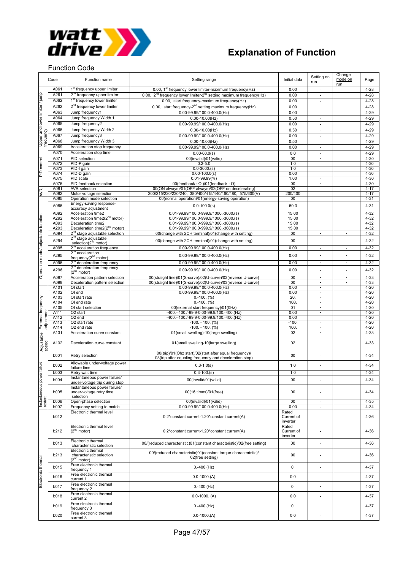

Function Code

## **Explanation of Function**

#### Change Setting on<br>run Code Function name Initial data Setting range Initial data Setting on Setting on Setting range Initial data Super mode on Page run A061 1<sup>st</sup> frequency upper limiter 0.00, 1st frequency lower limiter-maximum frequency(Hz) 0.00 - 4-28 duml A261 2<sup>nd</sup> frequency upper limiter 0.00, 2<sup>nd</sup> frequency lower limiter-2<sup>nd</sup> setting maximum frequency(Hz) 0.00 - 4-28 Upper and lower limiter / jump A262 2<sup>nd</sup> frequency lower limiter 0.00, start frequency-2<sup>nd</sup> setting maximum frequency(Hz) 0.00<br>A262 2<sup>nd</sup> frequency lower limiter 0.00, start frequency-2<sup>nd</sup> setting maximum frequency(Hz) 0.00 - 4-28<br>A063 Jump frequenc A062 1<sup>st</sup> frequency lower limiter 1.000, start frequency-maximum frequency(Hz) 0.00 - 4-28 imiter A063 Jump frequency1 0.00-99.99/100.0-400.0(Hz) 0.00 - 10.00 - 4-29<br>A064 Jump frequency Width 1 0.00-10.00(Hz) 0.50 - 4-29 A064 Jump frequency Width 1 0.00-10.00 (Hz) 0.50 - 4-29<br>A065 Jump frequency 2 0.00-99.99/100.0-400.00 Hz 0.00 - 4-29 ower A065 Jump frequency2 0.00-99.99/100.0-400.0(Hz) 0.00 - 10.00 - 4-29<br>A066 Jump frequency Width 2 0.00-10.00(Hz) 0.00 - 0.50 - 4-29 l pue Amp frequency Width 2 0.00-10.00(Hz) 0.00-0.000 0.000 - 0.000 - 0.000 - 4-29 A067 Jump frequency3 1 0.00-99.99/100.0-400.0(Hz) 0.00 - 4-29 Upper<br>freque A068 Jump frequency Width 3 0.00-10.000 (Hz) 0.50 - 0.50 - 4-29 A069 Acceleration stop frequency 0.00-99.99/100.0-400.0(Hz) 0.00 - 4-29<br>A070 Acceleration stop time 0.00-60.0(s) 0.00-60.0(s) 0.00 - 4-29 A070 | Acceleration stop time | 0.00-60.0(s) | 0.0 | 4-29 control A071 PID selection 00(invalid)/01(valid) 00 - 4-30 PID control A072 PID-P gain 0.2-5.0 1.0 4-30 A073 PID-I gain 0.0-3600.(s) 1.0 4-30  $\frac{d}{dt}$ A074 PID-D gain 0.00-100.0(s) 0.00 4-30 A075 PID scale 0.01-99.99(%) 1 .00 4-30 A076 PID feedback selection 00(feedback : OI)/01(feedback : O) 00 - 4-30 A081 | AVR selection 00(ON always)/01(OFF always)/02(OFF on decelerating) 02 4-17<br>A082 Motor voltage selection 200/215/220/230/240, 380/400/415/440/460/480, 575/600(V) 200/400  $\widetilde{\mathcal{R}}$ A082 Motor voltage selection 200/215/220/230/240, 380/400/415/440/460/480, 575/600(V) 200/400 - - - - - - - - 4-17<br>A085 Operation mode selection 00(normal operation)/01(energy-saving operation) 00 - - - 4-31 A086 Energy-saving response-<br>accuracy adjustment accuracy adjustment the control of the control of the control of the control of the control of the control of t<br>accuracy adjustment the control of the control of the control of the control of the control of the control of A092 Acceleration time2<br>
A292 Acceleration time2 ( $\frac{0.01-99.99/100.0-999.9/1000.0-3600.(\text{s})}{0.01-99.99/100.0-999.9/1000.0-3600.(\text{s})}$  15.00 4-32 function Operation mode/ adjustable function  $\frac{1}{200}$  and  $\frac{1}{200}$  and  $\frac{1}{200}$  and  $\frac{1}{200}$ . 1000.0-999.9/1000.-3600.(s) A093 Deceleration time2 0.01-99.99/100.0-999.9/1000.-3600.(s) 15.00 16.00 4-32  $A293$  Deceleration time2( $2^{nd}$  motor) 0.01-99.99/100.0-999.9/1000.-3600.(s) 15.00 15.00 4-32<br> $A094$   $2^{nd}$  stage adjustable selection 00(change with 2CH terminal)/01(change with setting) 00 - 4-32 adjustable 00(change with 2CH terminal)/01(change with se A294  $2^{n\alpha}$  stage adjustable<br>selection( $2^{n\alpha}$  motor) selection(2<sup>nd</sup> motor) 00(change with 2CH terminal)/01(change with setting) 00 - - 4-32<br>election(2<sup>nd</sup> motor) 0.00 - - 4-32<br>acceleration frequency 0.00 - 99.99/100.0-400.0(Hz) 0.00 - - 4-32  $\overline{A095}$   $\overline{2}^{\text{nd}}$  acceleration frequency  $\overline{0.00-99.99/100.0-400.0}$  Hz mode/  $A295 \left[ \begin{array}{ccc} 2^{nd} \text{ acceleration} \\ \text{frequency} (2^{nd} \text{ motor}) \end{array} \right]$  0.00-99.99/100.0-400.0(Hz) 0.00 -  $\left[ \begin{array}{ccc} 0.00 \\ - & \end{array} \right]$  4-32 A096 2<sup>nd</sup> deceleration frequency **2006** 2nd deceleration frequency **0.00-99.99/100.0-400.0(Hz)** 0.00 - 0.00 - 4-32 Operation  $\frac{2^{nd}}{2^{nd}}$  deceleration frequency 2<sup>nd</sup> deceleration frequency **can be absoluted** the deceleration frequency of the deceleration frequency and the deceleration of the deceleration of the deceleration of the deceleration of the deceleration of the decelerat A097 Acceleration pattern selection 00(straight line)/01(S-curve)/02(U-curve)/03(reverse U-curve) 00 0 - 4-33<br>A098 Deceleration pattern selection 00(straight line)/01(S-curve)/02(U-curve)/03(reverse U-curve) 00 - 4-33 A098 Deceleration pattern selection 00(straight line)/01(S-curve)/02(U-curve)/03(reverse U-curve) A101 OI start 0.00-99.99/100.0-400.0(Hz) 0.00 - 4-20<br>A102 OI end 0.00-99.99/100.0-400.0(Hz) 0.00 - 4-20 0.00-99.99/100.0-400.0(Hz) External frequency A103 | OI start rate 0.-100. (%) 20. 4-20 External frequency A104 | OI end rate 0.-100. (%) 100. 4-20 A105 OI start selection 00(external start frequency)/01(0Hz) 01 01 - 4-20 adjustment A111 O2 start -400.--100./-99.9-0.00-99.9/100.-400.(Hz) 4-20 A112 O2 end -402 -400.--100./-99.9-0.00-99.9/100.-400.(Hz) 0.00 - 400<br>A113 O2 start rate -4.20 -100 -100 -100 -100 -100 -100 -400. A113 O2 start rate -100. - 100. (%) -100. - 4-20 A114 | O2 end rate -100. - 100. (%) 100. | - | | 4-20 A131 Acceleration curve constant 01(small swelling)-10(large swelling) 02 - 4-33 Adjustable A132 Deceleration curve constant <br>  $01$ (small swelling-10(large swelling) 02 - 1 - 1 4-33 speed b001 Retry selection 00(trip)/01(Ohz start)/02(start after equal frequency) 00(trip)/01(Ohz start)/02(start after equal frequency)/<br>03(trip after equaling frequency and deceleration stop) 00 0 0 - 4-34 b002 Allowable under-voltage power failure Instantaneous power failure failure time 0.3-1.0(s) 1.0 - 4-34 b003 | Retry wait time | 0.3-100.(s) 1.0 | - | | 4-34 power b004 Instantaneous power failure Instantaneous power failure/<br>under-voltage trip during stop discussion of the control of the control of the control of the control of the c<br>and discussion of the control of the control of the control of the control of the **SUO** Instantaneous power failure/ b005 00/16 times)/01(free) 00 00 - 4-34 under-voltage retry time selection restart b006 Open-phase selection 00(invalid)/01(valid) 00(invalid)/01(valid) 00 - 4-35<br>b007 Frequency setting to match 0.00-99.99/100.0-400.0(Hz) 0.00 - 4-34 b007 Frequency setting to match | 0.00-99.99/100.0-400.0(Hz) | 0.00 | - | 4-34 Electronic thermal level Rated b012 0.2\*constant current-1.20\*constant current(A) Current of  $-$  4-36 inverte Electronic thermal level<br> $(2<sup>nd</sup> motor)$ Rated b212 0.2\*constant current-1.20\*constant current(A) Current of  $4-36$ inverter b013 Electronic thermal<br>characteristic selection 00/(reduced characteristic)01(constant characteristic)/02(free setting) 00 - 4-36 Electronic thermal 00/(reduced characteristic)01(constant torque characteristic)/ b213 characteristic selection stic)U1(constant torque characteristic)/<br>02(free setting) 02(free setting) 4-36 Electronic thermal Electronic thermal $(2^{nd}$  motor) b015 Free electronic thermal<br>frequency 1 1.000 coconomic memmer and the control of the coconomic memory of the coconomic memory of the 4-37<br>frequency 1 4-37 b016 Free electronic thermal<br>current 1 1 cucutum unchinen de la de la de la de la de la de la de la de la de la de la de la de la de la de la de la d<br>current 1 de la de la de la de la de la de la de la de la de la de la de la de la de la de la de la de la de l b017 Free electronic thermal<br>frequency 2 Frequency 2 0.-400. (Hz) 0.-400. (Hz) 0. 400. (Hz) 0. 400. (Hz) 4-37 b018 Free electronic thermal 1. cucurent 2 0.0 − 4-37<br>current 2 0.0 - 4-37 b019 Free electronic thermal<br>frequency 3 ricus customerinement in the control of the control of the control of the control of the control of the control of the definition of the definition of the definition of the definition of the definition of the definition o b020 Free electronic thermal ricu cucum unchinen de la de la de la de la de la de la de la de la de la de la de la de la de la de la de la<br>current 3 de la de la de la de la de la de la de la de la de la de la de la de la de la de la de la de la de l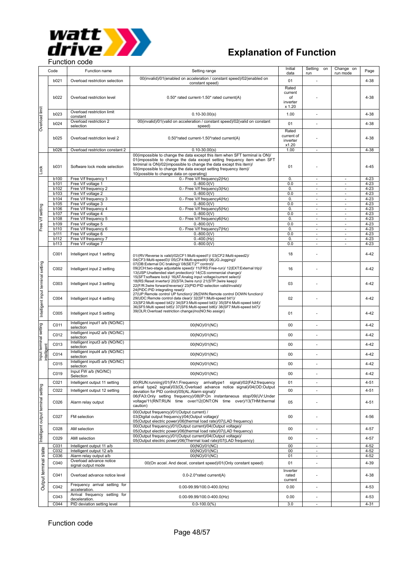

|                                     |             |                                                |                                                                               | Initial    | Setting on               | Change on                |          |
|-------------------------------------|-------------|------------------------------------------------|-------------------------------------------------------------------------------|------------|--------------------------|--------------------------|----------|
|                                     | Code        | Function name                                  | Setting range                                                                 | data       | run                      | run mode                 | Page     |
|                                     |             |                                                |                                                                               |            |                          |                          |          |
|                                     | b021        | Overload restriction selection                 | 00(invalid)/01(enabled on acceleration / constant speed)/02(enabled on        | 01         |                          |                          | $4 - 38$ |
|                                     |             |                                                | constant speed)                                                               |            |                          |                          |          |
|                                     |             |                                                |                                                                               | Rated      |                          |                          |          |
|                                     |             |                                                |                                                                               | current    |                          |                          |          |
|                                     | b022        | Overload restriction level                     | 0.50* rated current-1.50* rated current(A)                                    | of         |                          |                          | $4 - 38$ |
|                                     |             |                                                |                                                                               | inverter   |                          |                          |          |
|                                     |             |                                                |                                                                               | x 1.20     |                          |                          |          |
|                                     |             |                                                |                                                                               |            |                          |                          |          |
|                                     | b023        | Overload restriction limit                     | $0.10 - 30.00(s)$                                                             | 1.00       |                          |                          | 4-38     |
|                                     |             | constant                                       |                                                                               |            |                          |                          |          |
| Overload limit                      | b024        | Overload restriction 2                         | 00(invalid)/01(valid on acceleration / constant speed)/02(valid on constant   | 01         |                          |                          | $4 - 38$ |
|                                     |             | selection                                      | speed)                                                                        |            |                          |                          |          |
|                                     |             |                                                |                                                                               | Rated      |                          |                          |          |
|                                     |             |                                                |                                                                               | current of |                          |                          |          |
|                                     | b025        | Overload restriction level 2                   | 0.50*rated current-1.50*rated current(A)                                      | inverter   |                          |                          | $4 - 38$ |
|                                     |             |                                                |                                                                               | x1.20      |                          |                          |          |
|                                     |             | Overload restriction constant 2                |                                                                               | 1.00       |                          |                          | $4 - 38$ |
|                                     | <b>b026</b> |                                                | $0.10 - 30.00(s)$                                                             |            | ٠                        |                          |          |
|                                     |             |                                                | 00(impossible to change the data except this item when SFT terminal is ON)/   |            |                          |                          |          |
|                                     |             |                                                | 01(impossible to change the data except setting frequency item when SFT       |            |                          |                          |          |
|                                     | b031        | Software lock mode selection                   | terminal is ON)/02(impossible to change the data except this item)/           | 01         |                          |                          | $4 - 45$ |
|                                     |             |                                                | 03(impossible to change the data except setting frequency item)/              |            |                          |                          |          |
| Lock                                |             |                                                | 10(possible to change data on operating)                                      |            |                          |                          |          |
|                                     | b100        | Free V/f frequency 1                           | 0.- Free V/f frequency2(Hz)                                                   | 0.         | $\overline{\phantom{a}}$ | $\overline{\phantom{a}}$ | $4 - 23$ |
|                                     | b101        | Free V/f voltage 1                             | $0.-800.0($ V)                                                                | 0.0        | $\omega$                 | $\omega$                 | $4 - 23$ |
|                                     |             |                                                |                                                                               |            |                          |                          |          |
|                                     | b102        | Free V/f frequency 2                           | 0.- Free V/f frequency3(Hz)                                                   | 0.         | $\overline{\phantom{a}}$ | $\overline{\phantom{a}}$ | $4 - 23$ |
|                                     | b103        | Free V/f voltage 2                             | $0.-800.0($ V)                                                                | 0.0        | ÷,                       | $\overline{\phantom{a}}$ | $4 - 23$ |
|                                     | b104        | Free V/f frequency 3                           | 0.- Free V/f frequency4(Hz)                                                   | 0.         | $\overline{\phantom{a}}$ | $\overline{\phantom{a}}$ | $4 - 23$ |
|                                     | b105        | Free V/f voltage 3                             | $0.-800.0(V)$                                                                 | 0.0        | $\omega$                 | $\omega$                 | $4 - 23$ |
|                                     | b106        | Free V/f frequency 4                           | 0.- Free V/f frequency5(Hz)                                                   | 0.         | $\overline{\phantom{a}}$ | $\overline{\phantom{a}}$ | $4 - 23$ |
|                                     | b107        | Free V/f voltage 4                             | $0.-800.0($ V)                                                                | 0.0        | $\sim$                   | $\omega$                 |          |
|                                     |             |                                                |                                                                               |            |                          |                          | $4 - 23$ |
|                                     | b108        | Free V/f frequency 5                           | 0.- Free V/f frequency6(Hz)                                                   | 0.         | $\overline{\phantom{a}}$ | $\overline{\phantom{a}}$ | $4 - 23$ |
| Free V/f setting                    | b109        | Free V/f voltage 5                             | $0.-800.0($ V)                                                                | 0.0        | $\overline{\phantom{a}}$ | ×.                       | $4 - 23$ |
|                                     | b110        | Free V/f frequency 6                           | 0.- Free V/f frequency7(Hz)                                                   | 0.         | $\sim$                   | $\blacksquare$           | $4 - 23$ |
|                                     | b111        | Free V/f voltage 6                             | $0.-800.0(V)$                                                                 | 0.0        | $\sim$                   | $\sim$                   | $4 - 23$ |
|                                     | b112        | Free V/f frequency 7                           | $0.-400.(Hz)$                                                                 | 0.         | $\overline{\phantom{a}}$ | $\overline{\phantom{a}}$ | $4 - 23$ |
|                                     |             | Free V/f voltage 7                             | $0.-800.0($ V)                                                                | 0.0        |                          |                          | $4 - 23$ |
|                                     | b113        |                                                |                                                                               |            | $\overline{\phantom{a}}$ | $\overline{\phantom{a}}$ |          |
|                                     |             |                                                |                                                                               |            |                          |                          |          |
|                                     | C001        | Intelligent input 1 setting                    | 01/(RV:Reverse is valid)/02(CF1:Multi-speed1)/ 03(CF2:Multi-speed2)/          | 18         |                          |                          | $4 - 42$ |
|                                     |             |                                                | 04(CF3:Multi-speed3)/ 05(CF4:Multi-speed4)/ 06(JG:Jogging)/                   |            |                          |                          |          |
|                                     |             |                                                | 07(DB:External DC braking)/ 08(SET:2 <sup>nd</sup> control)/                  |            |                          |                          |          |
|                                     | C002        | Intelligent input 2 setting                    | 09(2CH:two-stage adjustable speed)/ 11(FRS:Free-run)/ 12(EXT:External trip)/  | 16         |                          |                          | 4-42     |
|                                     |             |                                                | 13(USP:Unattended start protection)/ 14(CS:commercial change)/                |            |                          |                          |          |
|                                     |             |                                                | 15(SFT:software lock)/ 16(AT:Analog input voltage/current select)/            |            |                          |                          |          |
|                                     | C003        |                                                | 18(RS:Reset inverter)/ 20(STA:3wire run)/ 21(STP:3wire keep)/                 |            |                          |                          |          |
|                                     |             | Intelligent input 3 setting                    | 22(F/R:3wire forward/reverse)/ 23(PID:PID selection valid/invalid)/           | 03         |                          |                          | $4 - 42$ |
|                                     |             |                                                | 24(PIDC:PID integrating reset)/                                               |            |                          |                          |          |
|                                     |             |                                                | 27(UP:Remote control UP function)/ 28(DWN:Remote control DOWN function)/      |            |                          |                          |          |
|                                     | C004        | Intelligent input 4 setting                    | 29(UDC:Remote control data clear)/ 32(SF1:Multi-speed bit1)/                  | 02         |                          |                          | $4 - 42$ |
|                                     |             |                                                | 33(SF2:Multi-speed bit2)/ 34(SF3:Multi-speed bit3)/ 35(SF4:Multi-speed bit4)/ |            |                          |                          |          |
|                                     |             |                                                | 36(SF5:Multi speed bit5)/ 37(SF6:Multi-speed bit6)/ 38(SF7:Multi-speed bit7)/ |            |                          |                          |          |
|                                     |             |                                                | 39(OLR:Overload restriction change)/no(NO:No assign)                          |            |                          |                          |          |
| Intelligent input terminal setting  | C005        | Intelligent input 5 setting                    |                                                                               | 01         |                          |                          | 4-42     |
|                                     |             |                                                |                                                                               |            |                          |                          |          |
|                                     |             | Intelligent input1 a/b (NO/NC)                 |                                                                               |            |                          |                          |          |
|                                     | C011        | selection                                      | 00(NO)/01(NC)                                                                 | 00         |                          |                          | 4-42     |
|                                     |             | Intelligent input2 a/b (NO/NC)                 |                                                                               |            |                          |                          |          |
|                                     | C012        |                                                | 00(NO)/01(NC)                                                                 | 00         | ä,                       |                          | $4 - 42$ |
| Input terminal setting              |             | selection                                      |                                                                               |            |                          |                          |          |
|                                     | C013        | Intelligent input3 a/b (NO/NC)                 | 00(NO)/01(NC)                                                                 | $00\,$     |                          |                          | $4 - 42$ |
| intelligen                          |             | selection                                      |                                                                               |            |                          |                          |          |
|                                     |             | Intelligent input4 a/b (NO/NC)                 |                                                                               |            |                          |                          |          |
|                                     | C014        | selection                                      | 00(NO)/01(NC)                                                                 | 00         | ÷,                       |                          | 4-42     |
|                                     |             | Intelligent input5 a/b (NO/NC)                 |                                                                               |            |                          |                          |          |
|                                     | C015        | selection                                      | 00(NO)/01(NC)                                                                 | 00         |                          |                          | 4-42     |
|                                     |             |                                                |                                                                               |            |                          |                          |          |
|                                     | C019        | Input FW a/b (NO/NC)                           | 00(NO)/01(NC)                                                                 | $00\,$     |                          |                          | $4 - 42$ |
|                                     |             | Selection                                      |                                                                               |            |                          |                          |          |
|                                     | C021        | Intelligent output 11 setting                  | 00(RUN:running)/01(FA1:Frequency arrivaltype1<br>signal)/02(FA2:frequency     | 01         |                          |                          | $4 - 51$ |
|                                     |             |                                                | arrival type2 signal)/03(OL:Overload advance notice signal)/04(OD:Output      |            |                          |                          |          |
|                                     | C022        | Intelligent output 12 setting                  | deviation for PID control)/05(AL:Alarm signal)/                               | 00         |                          |                          | 4-51     |
|                                     |             |                                                | 06(FA3:Only setting frequency)/08(IP:On instantaneous stop/09(UV:Under        |            |                          |                          |          |
| Intelligent output terminal setting |             |                                                | voltage/11(RNT:RUN time over/12(ONT:ON time over)/13(THM:thermal              |            |                          |                          |          |
|                                     | C026        | Alarm relay output                             | caution)                                                                      | 05         |                          |                          | $4 - 51$ |
|                                     |             |                                                |                                                                               |            |                          |                          |          |
|                                     |             |                                                | 00(Output frequency)/01(Output current) /                                     |            |                          |                          |          |
|                                     | C027        | FM selection                                   | 03(Digital output frequency)/04(Output voltage)/                              | 00         |                          |                          | 4-56     |
|                                     |             |                                                | 05(Output electric power)/06(thermal load rate)/07(LAD frequency)             |            |                          |                          |          |
|                                     |             |                                                | 00(Output frequency)/01(Output current)/04(Output voltage)/                   |            |                          |                          |          |
|                                     | C028        | AM selection                                   |                                                                               | 00         | ä,                       |                          | $4 - 57$ |
|                                     |             |                                                | 05(Output electric power)/06(thermal load rate)/07(LAD frequency)             |            |                          |                          |          |
|                                     |             |                                                | 00(Output frequency)/01(Output current)/04(Output voltage)/                   | 00         |                          |                          | $4 - 57$ |
|                                     |             |                                                |                                                                               |            |                          |                          |          |
|                                     | C029        | AMI selection                                  | 05(Output electric power)/06(Thermal load rate)/07(LAD frequency)             |            |                          |                          |          |
|                                     | C031        | Intelligent output 11 a/b                      | 00(NO)/01(NC)                                                                 | 00         | ä,                       |                          | $4 - 52$ |
|                                     |             |                                                |                                                                               | 00         | $\overline{\phantom{a}}$ |                          | $4 - 52$ |
|                                     | C032        | Intelligent output 12 a/b                      | 00(NO)/01(NC)                                                                 |            |                          |                          |          |
|                                     | C036        | Alarm relay output a/b                         | 00(NO)/01(NC)                                                                 | 01         | $\blacksquare$           |                          | $4 - 52$ |
|                                     | C040        | Overload advance notice                        | 00(On accel. And decel, constant speed)/01(Only constant speed)               | 01         |                          |                          | 4-39     |
|                                     |             | signal output mode                             |                                                                               |            |                          |                          |          |
|                                     |             |                                                |                                                                               | Inverter   |                          |                          |          |
|                                     | C041        | Overload advance notice level                  | 0.0-2.0*rated current(A)                                                      | rated      |                          |                          | $4 - 38$ |
|                                     |             |                                                |                                                                               | current    |                          |                          |          |
|                                     |             | Frequency arrival setting for                  |                                                                               |            |                          |                          |          |
| Output terminal state               | C042        | acceleration.                                  | $0.00 - 99.99/100.0 - 400.0$ (Hz)                                             | 0.00       |                          |                          | $4 - 53$ |
|                                     |             |                                                |                                                                               |            |                          |                          |          |
|                                     | C043        | Arrival frequency setting for<br>deceleration. | $0.00 - 99.99/100.0 - 400.0$ (Hz)                                             | 0.00       | ÷,                       |                          | $4 - 53$ |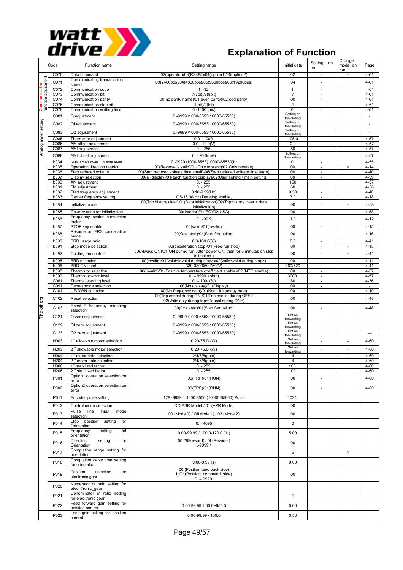

|                          | Code                | Function name                                                | Setting range                                                                                                                 | Initial data             | Setting on<br>run                                    | Change<br>mode on<br>run | Page                 |
|--------------------------|---------------------|--------------------------------------------------------------|-------------------------------------------------------------------------------------------------------------------------------|--------------------------|------------------------------------------------------|--------------------------|----------------------|
|                          | C070                | Data command                                                 | 02(operator)/03(RS485)/04(option1)/05(option2)                                                                                | 02                       |                                                      |                          | $4 - 61$             |
| function adjustment<br>ξ | C071                | Communicating transmission<br>speed                          | 03(2400bps)/04(4800bps)/05(9600bps)/06(19200bps)                                                                              | 04                       |                                                      |                          | 4-61                 |
| შ<br>⊟                   | C072                | Communication code                                           | $1. -32.$                                                                                                                     | $\mathbf{1}$             | ÷,                                                   |                          | $4 - 61$             |
| ≣                        | C073<br>C074        | Communication bit<br>Communication parity                    | 7(7bit)/8(8bit)<br>00(no parity name)/01(even parity)/02(odd parity)                                                          | 7<br>00                  | $\overline{\phantom{a}}$<br>$\overline{\phantom{a}}$ |                          | $4 - 61$<br>$4 - 61$ |
| s<br>S                   | C075                | Communication stop bit                                       | 1(bit)/2(bit)                                                                                                                 | $\mathbf{1}$             | $\overline{\phantom{a}}$                             |                          | $4 - 61$             |
|                          | C078                | Communication waiting time                                   | $0.-1000.(ms)$                                                                                                                | 0.<br>Setting on         | ä,                                                   |                          | $4 - 61$             |
|                          | C081                | O adjustment                                                 | 0.-9999./1000-6553(10000-65530)                                                                                               | forwarding               |                                                      |                          | ÷,                   |
|                          | C082                | OI adjustment                                                | 0.-9999./1000-6553(10000-65530)                                                                                               | Setting on<br>forwarding |                                                      |                          | ÷,                   |
|                          | C083                | O2 adjustment                                                | 0.-9999./1000-6553(10000-65530)                                                                                               | Setting on<br>forwarding |                                                      |                          | ÷,                   |
|                          | C085                | Thermistor adjustment                                        | $0.0 - 1000.$                                                                                                                 | 105.0                    |                                                      |                          | $4 - 57$             |
|                          | C086                | AM offset adjustment                                         | $0.0 - 10.0(V)$                                                                                                               | 0.0                      |                                                      |                          | $4 - 57$             |
| Analog meter setting     | C087                | AMI adjustment                                               | $0. - 255.$                                                                                                                   | 50<br>Setting on         |                                                      |                          | $4 - 57$             |
|                          | C088                | AMI offset adjustment                                        | $0. - 20.0$ (mA)                                                                                                              | forwarding               |                                                      |                          | 4-57                 |
|                          | b034<br><b>b035</b> | RUN time/Power ON time level<br>Operation direction restrict | 0.-9999./1000-6553(10000-65530)hr<br>00(Reverse is valid)/01(Only forward)/02(Only reverse)                                   | 0.<br>00                 | ×.<br>$\overline{\phantom{a}}$                       | $\times$                 | $4 - 55$<br>$4 - 14$ |
|                          | <b>b036</b>         | Start reduced voltage                                        | 00(Start reduced voltage time small)-06(Start reduced voltage time large)                                                     | 06                       | ×.                                                   |                          | $4 - 40$             |
|                          | b037                | Display selection                                            | 00(all display)/01(each function display)/02(User setting / main setting)                                                     | 00                       | $\overline{\phantom{a}}$                             |                          | $4 - 59$             |
|                          | b080<br>b081        | AM adjustment<br>FM adjustment                               | $0. - 255$<br>$0. - 255$                                                                                                      | 150<br>60                |                                                      |                          | $4 - 57$<br>$4 - 56$ |
|                          | b082                | Start frequency adjustment                                   | $0.10 - 9.99$ (Hz)                                                                                                            | 0.50                     | ×.                                                   |                          | $4 - 40$             |
|                          | b083                | Carrier frequency setting                                    | 0.5-15.0(kHz) Derating enable                                                                                                 | 3.0                      | $\overline{\phantom{a}}$                             |                          | $4 - 18$             |
|                          | b084                | Initialize mode                                              | 00(Trip history clear)/01(Data initialization)/02(Trip history clear + data<br>initialization)                                | 00                       | ä,                                                   |                          | $4 - 58$             |
|                          | b085                | Country code for initialization                              | 00(Interior)/01(EC)/02(USA)                                                                                                   | 00                       | ÷,                                                   | ä,                       | 4-58                 |
|                          | b086                | Frequency scalar conversion                                  | $0.1 - 99.9$                                                                                                                  | 1.0                      |                                                      |                          | $4 - 12$             |
|                          | <b>b087</b>         | factor<br>STOP key enable                                    | 00(valid)/01(invalid)                                                                                                         | 00                       | ×                                                    |                          | $4 - 15$             |
|                          |                     | Resume on FRS cancellation                                   |                                                                                                                               |                          |                                                      |                          |                      |
|                          | b088                | mode                                                         | 00(Ohz start)/01(Start f-equaling)                                                                                            | 00                       | ä,                                                   |                          | $4 - 46$             |
|                          | b090<br>b091        | BRD usage ratio<br>Stop mode selection                       | $0.0 - 100.0(%)$<br>00(deceleration stop)/01(Free-run stop)                                                                   | 0.0<br>00                | ä,<br>÷,                                             | $\overline{\phantom{a}}$ | $4 - 41$<br>$4 - 15$ |
|                          |                     |                                                              | 00(Always ON)/01(ON during run, After power ON, then for 5 minutes on stop                                                    |                          |                                                      |                          |                      |
|                          | b092                | Cooling fan control                                          | is implied.)                                                                                                                  | 00                       | ٠                                                    |                          | $4 - 41$             |
|                          | <b>b095</b><br>b096 | <b>BRD</b> selection<br><b>BRD ON level</b>                  | 00(invalid)/01(valid <invalid during="" stop="">)/02(valid<valid during="" stop="">)<br/>330-380/660-760(V)</valid></invalid> | 00<br>360/720            | $\overline{\phantom{a}}$<br>÷,                       |                          | $4 - 41$<br>$4 - 41$ |
|                          | <b>b098</b>         | Thermistor selection                                         | 00(invalid)/01(Positive temperature coefficient enable)/02 (NTC enable)                                                       | 00                       | $\overline{\phantom{a}}$                             |                          | $4 - 57$             |
|                          | b099                | Thermistor error level                                       | $0. - 9999.$ (ohm)                                                                                                            | 3000                     | $\sim$                                               |                          | $4 - 57$             |
|                          | C061                | Thermal warning level                                        | $0. - 100.$ (%)                                                                                                               | 80<br>00                 | $\overline{\phantom{a}}$<br>×.                       |                          | $4 - 36$             |
|                          | C091<br>C101        | Debug mode selection<br>UP/DWN selection                     | 00(No display)/01(Display)<br>00(No frequency data)/01(Keep frequency data)                                                   | 00                       | ÷.                                                   |                          | $\sim$<br>$4 - 49$   |
|                          | C102                | Reset selection                                              | 00(Trip cancel during ON)/01(Trip cancel during OFF)/                                                                         | 00                       |                                                      |                          | $4 - 48$             |
|                          |                     |                                                              | 02(Valid only during trip <cancel during="" on="">)</cancel>                                                                  |                          |                                                      |                          |                      |
| The others               | C <sub>103</sub>    | Reset f frequency matching<br>selection                      | 00(0Hz start)/01(Start f-equaling)                                                                                            | 00                       | ÷,                                                   |                          | $4 - 48$             |
|                          | C121                | O zero adjustment                                            | 0.-9999./1000-6553(10000-65530)                                                                                               | Set on                   |                                                      |                          |                      |
|                          | C122                | OI zero adjustment                                           | 0.-9999./1000-6553(10000-65530)                                                                                               | forwarding<br>Set on     |                                                      |                          |                      |
|                          |                     |                                                              |                                                                                                                               | forwarding<br>Set on     |                                                      |                          |                      |
|                          | C123                | O2 zero adjustment                                           | 0.-9999./1000-6553(10000-65530)                                                                                               | forwarding               |                                                      |                          |                      |
|                          | H003                | 1 <sup>st</sup> allowable motor selection                    | $0.20 - 75.0$ (kW)                                                                                                            | Set on<br>forwarding     |                                                      |                          | 4-60                 |
|                          | H203                | 2 <sup>nd</sup> allowable motor selection                    | $0.20 - 75.0$ (kW)                                                                                                            | Set on<br>forwarding     |                                                      | ä,                       | 4-60                 |
|                          | H004                | 1 <sup>st</sup> motor pole selection                         | 2/4/6/8(pole)                                                                                                                 | 4                        | ٠                                                    | ÷.                       | 4-60                 |
|                          | H204                | 2 <sup>nd</sup> motor pole selection                         | 2/4/6/8(pole)                                                                                                                 | 4                        |                                                      |                          | 4-60                 |
|                          | H006<br>H206        | 1 <sup>st</sup> stabilized factor<br>$2nd$ stabilized factor | $0. - 255.$<br>$0. - 255.$                                                                                                    | 100.<br>100.             |                                                      |                          | $4 - 60$<br>$4 - 60$ |
|                          | P001                | Option1 operation selection on                               | 00(TRP)/01(RUN)                                                                                                               | $00\,$                   | $\sim$                                               |                          | $4 - 60$             |
|                          |                     | error                                                        |                                                                                                                               |                          |                                                      |                          |                      |
|                          | P002                | Option2 operation selection on<br>error                      | 00(TRP)/01(RUN)                                                                                                               | $00\,$                   | $\overline{\phantom{a}}$                             |                          | 4-60                 |
|                          | P011                | Encoder pulse setting                                        | 128.-9999.1 1000-8500 (10000-65000) Pulse                                                                                     | 1024.                    |                                                      |                          |                      |
|                          |                     |                                                              |                                                                                                                               |                          |                                                      |                          |                      |
|                          | P012                | Control mode selection<br>Pulse line<br>Input<br>mode        | OOIASR Model / 01 (APR Mode)                                                                                                  | 00                       |                                                      |                          |                      |
|                          | P013                | selection                                                    | 00 (Mode 0) / OIIMode 1) / 02 (Mode 2)                                                                                        | $00\,$                   |                                                      |                          |                      |
|                          | P014                | Stop position setting<br>for                                 | $0. - 4095$                                                                                                                   | $\mathbf 0$              |                                                      |                          |                      |
|                          |                     | Orientation<br>Frequency<br>setting<br>fot                   |                                                                                                                               |                          |                                                      |                          |                      |
|                          | P015                | orientation                                                  | $0.00 - 99.99 / 100.0 - 120.0$ (1*)                                                                                           | 5.00                     |                                                      |                          |                      |
|                          | P016                | Direction<br>setting<br>for                                  | 00 #8Forward) / 0t (Reverse)                                                                                                  | 00                       |                                                      |                          |                      |
|                          |                     | Orientation<br>Completion range setting for                  | $\sim$ -9999./ $\sim$                                                                                                         |                          |                                                      |                          |                      |
|                          | P017                | orientation                                                  |                                                                                                                               | 5                        |                                                      | $\mathbf{1}$             |                      |
|                          | P018                | Completion delay time setting                                | $0.00 - 9.99$ (s)                                                                                                             | 0.00                     |                                                      |                          |                      |
|                          |                     | for orientation                                              | 00 (Position teed back side)                                                                                                  |                          |                                                      |                          |                      |
|                          | P019                | Position<br>selection<br>for<br>electronic gear              | I Ot (Position command side)                                                                                                  | 00                       |                                                      |                          |                      |
|                          |                     | Numerator of ratio setting for                               | $0. - 9999.$                                                                                                                  |                          |                                                      |                          |                      |
|                          | P020                | etec. Tronic_gear                                            |                                                                                                                               |                          |                                                      |                          |                      |
|                          | P021                | Denominator of ratio setting<br>for elec-tronic gear         |                                                                                                                               | $\mathbf{1}$             |                                                      |                          |                      |
|                          |                     | Feed forward gain setting for                                |                                                                                                                               |                          |                                                      |                          |                      |
|                          | P022                | position con rot                                             | 0.00-99.99 lt 00.0~655.3                                                                                                      | 0,00                     |                                                      |                          |                      |
|                          | P023                | Loop gain selling for position<br>control                    | 0,00-99.99 / 100.0                                                                                                            | 0,50                     |                                                      |                          |                      |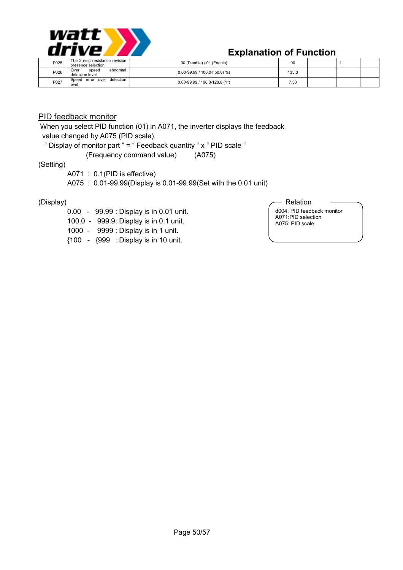

| P025 | Tt.e 2 nest resistance revision<br>presence selection | 00 (Diaabie) / 01 (Enabis)           | 00    |  |  |
|------|-------------------------------------------------------|--------------------------------------|-------|--|--|
| P026 | abnormal<br>speed<br>Over<br>detection level          | $0.00 - 99.99 / 100.0 - f 50.0$ ) %) | 135.0 |  |  |
| P027 | detection<br>Speed<br>error over<br>evel              | $0.00 - 99.99 / 100.0 - 120.0$ (1*)  | 7.50  |  |  |

#### PID feedback monitor

 When you select PID function (01) in A071, the inverter displays the feedback value changed by A075 (PID scale).

" Display of monitor part " = " Feedback quantity " x " PID scale "

(Frequency command value) (A075)

#### (Setting)

A071 : 0.1(PID is effective)

A075 : 0.01-99.99(Display is 0.01-99.99(Set with the 0.01 unit)

#### (Display)

- 0.00 99.99 : Display is in 0.01 unit.
- 100.0 999.9: Display is in 0.1 unit.
- 1000 9999 : Display is in 1 unit.
- {100 {999 : Display is in 10 unit.

#### Relation

d004: PID feedback monitor A071:PID selection A075: PID scale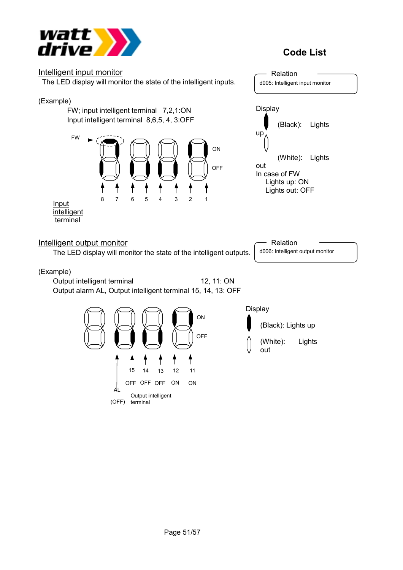



(OFF) terminal

Output intelligent

AL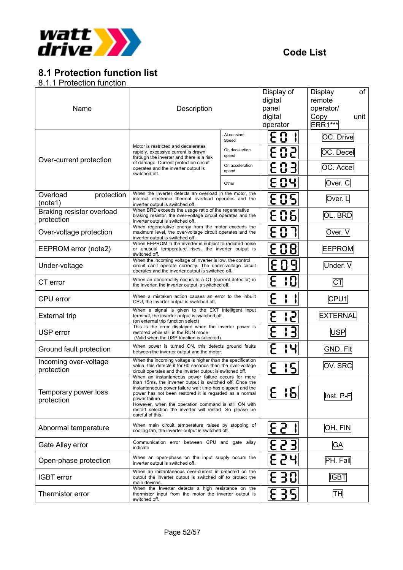

# **8.1 Protection function list**

8.1.1 Protection function

| Name                                    | Description                                                                                                                                                                                                                                                                                                                                                                                       |                          | Display of<br>digital<br>panel<br>digital<br>operator | of<br><b>Display</b><br>remote<br>operator/<br>unit<br>Copy<br><b>ERR1***</b> |  |
|-----------------------------------------|---------------------------------------------------------------------------------------------------------------------------------------------------------------------------------------------------------------------------------------------------------------------------------------------------------------------------------------------------------------------------------------------------|--------------------------|-------------------------------------------------------|-------------------------------------------------------------------------------|--|
|                                         |                                                                                                                                                                                                                                                                                                                                                                                                   | At constant<br>Speed     | E<br>0                                                | OC. Drive                                                                     |  |
| Over-current protection                 | Motor is restricted and decelerates<br>rapidly, excessive current is drawn<br>through the inverter and there is a risk                                                                                                                                                                                                                                                                            | On decelertion<br>speed  | E 0<br>2                                              | OC. Decel                                                                     |  |
|                                         | of damage. Current protection circuit<br>operates and the inverter output is<br>switched off.                                                                                                                                                                                                                                                                                                     | On acceleration<br>speed | $\bf{C}$<br>$\exists$<br>と                            | OC. Accel                                                                     |  |
|                                         |                                                                                                                                                                                                                                                                                                                                                                                                   | Other                    | 04<br>E                                               | Over. C                                                                       |  |
| Overload<br>protection<br>(note1)       | When the Inverter detects an overload in the motor, the<br>internal electronic thermal overload operates and the<br>inverter output is switched off.                                                                                                                                                                                                                                              |                          | <b>EOS</b>                                            | Over. L                                                                       |  |
| Braking resistor overload<br>protection | When BRD exceeds the usage ratio of the regenerative<br>braking resistor, the over-voltage circuit operates and the<br>inverter output is switched off.                                                                                                                                                                                                                                           |                          | E 0 5                                                 | OL. BRD                                                                       |  |
| Over-voltage protection                 | When regenerative energy from the motor exceeds the<br>maximum level, the over-voltage circuit operates and the<br>inverter output is switched off.                                                                                                                                                                                                                                               |                          | E 0 7                                                 | Over. V                                                                       |  |
| EEPROM error (note2)                    | When EEPROM in the inverter is subject to radiated noise<br>or unusual temperature rises, the inverter output is<br>switched off.                                                                                                                                                                                                                                                                 | E 0 8 I                  | <b>EEPROM</b>                                         |                                                                               |  |
| Under-voltage                           | When the incoming voltage of inverter is low, the control<br>circuit can't operate correctly. The under-voltage circuit<br>operates and the inverter output is switched off.                                                                                                                                                                                                                      | E09                      | Under. V                                              |                                                                               |  |
| CT error                                | When an abnormality occurs to a CT (current detector) in<br>the inverter, the inverter output is switched off.                                                                                                                                                                                                                                                                                    |                          | E<br>10                                               | $C\overline{T}$                                                               |  |
| CPU error                               | When a mistaken action causes an error to the inbuilt<br>CPU, the inverter output is switched off.                                                                                                                                                                                                                                                                                                |                          | E                                                     | CPU <sub>1</sub>                                                              |  |
| <b>External trip</b>                    | When a signal is given to the EXT intelligent input<br>terminal, the inverter output is switched off.<br>(on external trip function select)                                                                                                                                                                                                                                                       |                          | E<br>5                                                | <b>EXTERNAL</b>                                                               |  |
| USP error                               | This is the error displayed when the inverter power is<br>restored while still in the RUN mode.<br>(Valid when the USP function is selected)                                                                                                                                                                                                                                                      |                          | ヨ<br>ᡰ                                                | <b>USP</b>                                                                    |  |
| Ground fault protection                 | When power is turned ON, this detects ground faults<br>between the inverter output and the motor.                                                                                                                                                                                                                                                                                                 |                          | E<br>Ч                                                | <b>GND. Flt</b>                                                               |  |
| Incoming over-voltage<br>protection     | When the incoming voltage is higher than the specification<br>value, this detects it for 60 seconds then the over-voltage<br>circuit operates and the inverter output is switched off.                                                                                                                                                                                                            |                          | 15<br>E                                               | OV. SRC                                                                       |  |
| Temporary power loss<br>protection      | When an instantaneous power failure occurs for more<br>than 15ms, the inverter output is switched off. Once the<br>instantaneous power failure wait time has elapsed and the<br>power has not been restored it is regarded as a normal<br>power failure.<br>However, when the operation command is still ON with<br>restart selection the inverter will restart. So please be<br>careful of this. |                          | $\blacksquare$<br>$\cdot$ $\sim$<br>ib.<br>と          | Inst. P-F                                                                     |  |
| Abnormal temperature                    | When main circuit temperature raises by stopping of<br>cooling fan, the inverter output is switched off.                                                                                                                                                                                                                                                                                          |                          | <b>ES 11</b>                                          | OH. FIN                                                                       |  |
| Gate Allay error                        | Communication error between CPU and gate allay<br>indicate                                                                                                                                                                                                                                                                                                                                        |                          | E 2 3                                                 | <b>GA</b>                                                                     |  |
| Open-phase protection                   | When an open-phase on the input supply occurs the<br>inverter output is switched off.                                                                                                                                                                                                                                                                                                             |                          | E 5 41                                                | PH. Fail                                                                      |  |
| <b>IGBT</b> error                       | When an instantaneous over-current is detected on the<br>output the inverter output is switched off to protect the<br>main devices.                                                                                                                                                                                                                                                               |                          | 30                                                    | <b>IGBT</b>                                                                   |  |
| Thermistor error                        | When the Inverter detects a high resistance on the<br>thermistor input from the motor the inverter output is<br>switched off.                                                                                                                                                                                                                                                                     |                          | <u>E 351</u>                                          | ļТН                                                                           |  |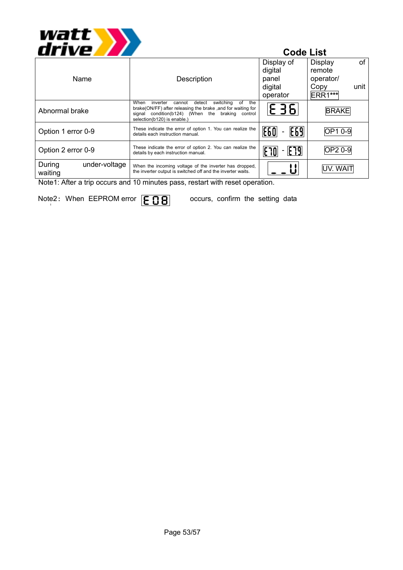

| Name                               | Description                                                                                                                                                                                                       | Display of<br>digital<br>panel | of<br>Display<br>remote<br>operator/ |
|------------------------------------|-------------------------------------------------------------------------------------------------------------------------------------------------------------------------------------------------------------------|--------------------------------|--------------------------------------|
|                                    |                                                                                                                                                                                                                   | digital<br>operator            | unit<br>Copy<br><b>ERR1***</b>       |
| Abnormal brake                     | When<br>detect<br>the<br>inverter<br>switching<br>οf<br>cannot<br>brake(ON/FF) after releasing the brake , and for waiting for<br>signal condition(b124) (When the braking control<br>selection(b120) is enable.) | E 36                           | <b>BRAKE</b>                         |
| Option 1 error 0-9                 | These indicate the error of option 1. You can realize the<br>details each instruction manual.                                                                                                                     | <b>E60</b><br>E69              | OP1 0-9                              |
| Option 2 error 0-9                 | These indicate the error of option 2. You can realize the<br>details by each instruction manual.                                                                                                                  | E79<br> E 70<br>-              | OP2 0-9                              |
| During<br>under-voltage<br>waiting | When the incoming voltage of the inverter has dropped,<br>the inverter output is switched off and the inverter waits.                                                                                             |                                | UV. WAIT                             |
| . . <i>.</i><br>$\sim$             |                                                                                                                                                                                                                   | $\cdot$ .                      |                                      |

Note1: After a trip occurs and 10 minutes pass, restart with reset operation.

Note2: When EEPROM error  $|\mathsf{F} \cap \mathsf{P}|$  occurs, confirm the setting data i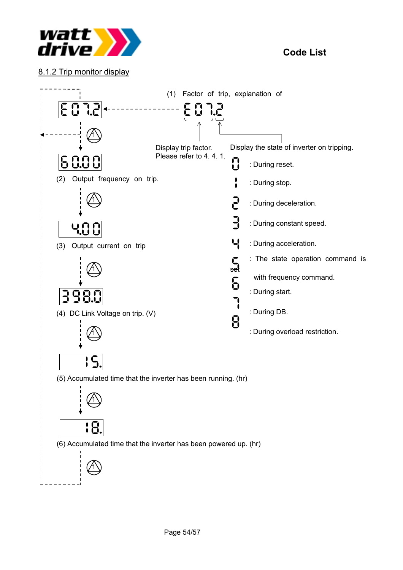

8.1.2 Trip monitor display

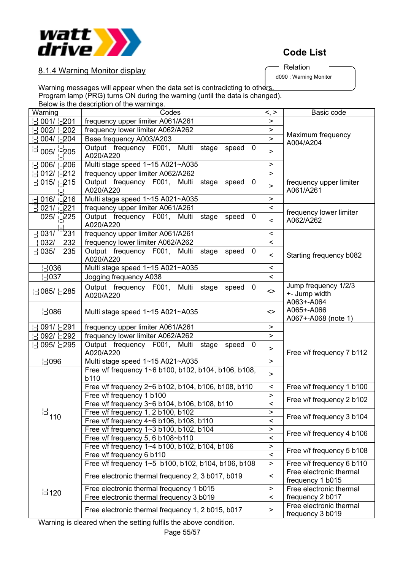

Relation

d090 : Warning Monitor

8.1.4 Warning Monitor display

Warning messages will appear when the data set is contradicting to others. Program lamp (PRG) turns ON during the warning (until the data is changed). Below is the description of the warnings.

| Warning                                | Codes                                                                              | $\lt$ , $>$                      | Basic code                                          |  |  |  |
|----------------------------------------|------------------------------------------------------------------------------------|----------------------------------|-----------------------------------------------------|--|--|--|
| 001/ -201                              | frequency upper limiter A061/A261                                                  | >                                |                                                     |  |  |  |
| $002/ \big  \in 202$                   | frequency lower limiter A062/A262                                                  | >                                |                                                     |  |  |  |
| $004/  $ - 204                         | Base frequency A003/A203                                                           | $\geq$                           | Maximum frequency<br>A004/A204                      |  |  |  |
| $\frac{1}{12}$ 005/ $\frac{1}{12}$ 205 | Output frequency F001, Multi stage speed<br>0<br>A020/A220                         | >                                |                                                     |  |  |  |
| $006/ -206$                            | Multi stage speed 1~15 A021~A035                                                   | >                                |                                                     |  |  |  |
| $012/ -212$                            | frequency upper limiter A062/A262                                                  | $\geq$                           |                                                     |  |  |  |
| $\frac{1}{2}$ 015/ $\frac{1}{2}$ 215   | Output frequency F001, Multi stage<br>speed<br>0<br>A020/A220                      | $\geq$                           | frequency upper limiter<br>A061/A261                |  |  |  |
| $\pm$ 016/ $\pm$ 216                   | Multi stage speed 1~15 A021~A035                                                   | >                                |                                                     |  |  |  |
| $\frac{1}{2}$ 021/ $\frac{1}{2}$ 221   | frequency upper limiter A061/A261                                                  | $\,<\,$                          | frequency lower limiter                             |  |  |  |
| 025/ $\sqrt{225}$                      | Output frequency F001, Multi stage<br>speed<br>0<br>A020/A220                      | $\,<\,$                          | A062/A262                                           |  |  |  |
| 231<br>$  -   031/$                    | frequency upper limiter A061/A261                                                  | $\,<\,$                          |                                                     |  |  |  |
| 032/<br>232                            | frequency lower limiter A062/A262                                                  | $\overline{\phantom{0}}$         |                                                     |  |  |  |
| $\lfloor \cdot \rfloor$ 035/<br>235    | Output frequency F001, Multi<br>stage<br>speed<br>- 0<br>A020/A220                 | Starting frequency b082<br>$\,<$ |                                                     |  |  |  |
| 님036                                   | Multi stage speed 1~15 A021~A035                                                   | $\,<\,$                          |                                                     |  |  |  |
| $\lfloor$ 037                          | Jogging frequency A038                                                             | $\overline{\phantom{0}}$         |                                                     |  |  |  |
| 님 085/ 난285                            | Output frequency F001, Multi stage speed<br>- 0<br>A020/A220                       | <>                               | Jump frequency 1/2/3<br>+- Jump width<br>A063+-A064 |  |  |  |
| $\mathsf{L}$ 086                       | Multi stage speed 1~15 A021~A035                                                   | <>                               | A065+-A066<br>A067+-A068 (note 1)                   |  |  |  |
| 091/ -291                              | frequency upper limiter A061/A261                                                  | >                                |                                                     |  |  |  |
| 092/ -292                              | frequency lower limiter A062/A262                                                  | $\geq$                           |                                                     |  |  |  |
| 님 095/ 닌295                            | Output frequency F001, Multi stage<br>speed<br>$\mathbf 0$<br>A020/A220            |                                  | Free v/f frequency 7 b112                           |  |  |  |
| $\vert$ - $\vert$ 096                  | Multi stage speed 1~15 A021~A035                                                   | >                                |                                                     |  |  |  |
|                                        | Free v/f frequency 1~6 b100, b102, b104, b106, b108,<br>b110                       | >                                |                                                     |  |  |  |
|                                        | Free v/f frequency 2~6 b102, b104, b106, b108, b110                                | $\,<$                            | Free v/f frequency 1 b100                           |  |  |  |
|                                        | Free v/f frequency 1 b100                                                          | $\geq$                           | Free v/f frequency 2 b102                           |  |  |  |
|                                        | Free v/f frequency 3~6 b104, b106, b108, b110                                      | $\overline{\phantom{0}}$         |                                                     |  |  |  |
| $\mathbb{H}_{110}$                     | Free v/f frequency 1, 2 b100, b102                                                 | ⋗                                | Free v/f frequency 3 b104                           |  |  |  |
|                                        | Free v/f frequency 4~6 b106, b108, b110                                            | $\,<$                            |                                                     |  |  |  |
|                                        | Free v/f frequency 1~3 b100, b102, b104                                            | $\geq$                           | Free v/f frequency 4 b106                           |  |  |  |
|                                        | Free v/f frequency 5, 6 b108~b110<br>Free v/f frequency 1~4 b100, b102, b104, b106 | $\,<$                            |                                                     |  |  |  |
|                                        | Free v/f frequency 6 b110                                                          | ><br>$\,<$                       | Free v/f frequency 5 b108                           |  |  |  |
|                                        | Free v/f frequency 1~5 b100, b102, b104, b106, b108                                | $\,>$                            | Free v/f frequency 6 b110                           |  |  |  |
|                                        | Free electronic thermal frequency 2, 3 b017, b019                                  | $\,<\,$                          | Free electronic thermal<br>frequency 1 b015         |  |  |  |
|                                        | Free electronic thermal frequency 1 b015                                           | >                                | Free electronic thermal                             |  |  |  |
| $\mathsf{L}$ 120                       | Free electronic thermal frequency 3 b019                                           | $\,<$                            | frequency 2 b017                                    |  |  |  |
|                                        | Free electronic thermal frequency 1, 2 b015, b017                                  | >                                | Free electronic thermal<br>frequency 3 b019         |  |  |  |

Warning is cleared when the setting fulfils the above condition.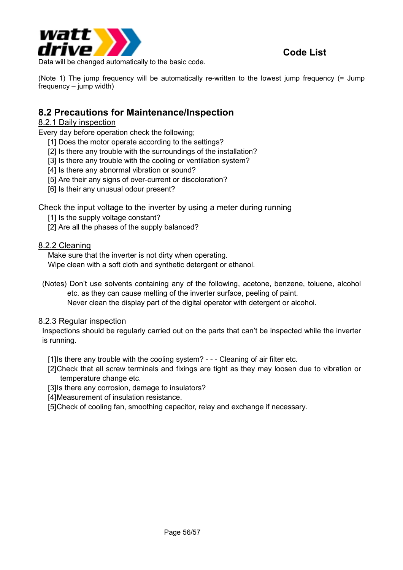

Data will be changed automatically to the basic code.

(Note 1) The jump frequency will be automatically re-written to the lowest jump frequency (= Jump frequency – jump width)

### **8.2 Precautions for Maintenance/Inspection**

#### 8.2.1 Daily inspection

Every day before operation check the following;

- [1] Does the motor operate according to the settings?
- [2] Is there any trouble with the surroundings of the installation?
- [3] Is there any trouble with the cooling or ventilation system?
- [4] Is there any abnormal vibration or sound?
- [5] Are their any signs of over-current or discoloration?
- [6] Is their any unusual odour present?

Check the input voltage to the inverter by using a meter during running

- [1] Is the supply voltage constant?
- [2] Are all the phases of the supply balanced?

#### 8.2.2 Cleaning

Make sure that the inverter is not dirty when operating. Wipe clean with a soft cloth and synthetic detergent or ethanol.

(Notes) Don't use solvents containing any of the following, acetone, benzene, toluene, alcohol etc. as they can cause melting of the inverter surface, peeling of paint. Never clean the display part of the digital operator with detergent or alcohol.

#### 8.2.3 Regular inspection

Inspections should be regularly carried out on the parts that can't be inspected while the inverter is running.

[1] Is there any trouble with the cooling system? - - - Cleaning of air filter etc.

- [2] Check that all screw terminals and fixings are tight as they may loosen due to vibration or temperature change etc.
- [3] Is there any corrosion, damage to insulators?
- [4] Measurement of insulation resistance.
- [5] Check of cooling fan, smoothing capacitor, relay and exchange if necessary.